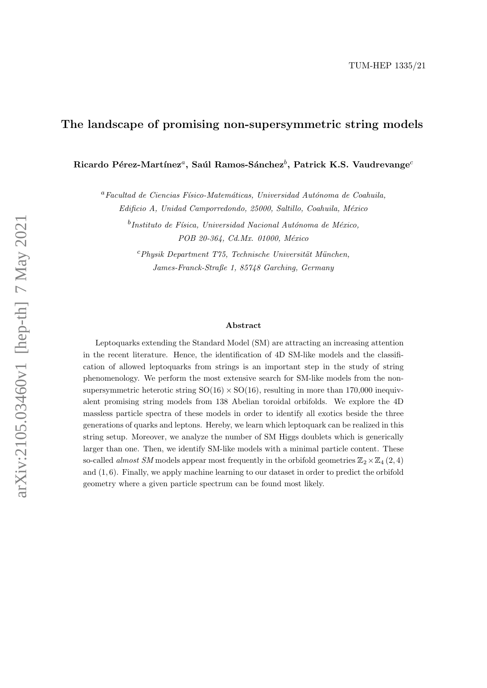# The landscape of promising non-supersymmetric string models

Ricardo Pérez-Martínez $^a$ , Saúl Ramos-Sánchez $^b$ , Patrick K.S. Vaudrevange $^c$ 

 ${}^a$ Facultad de Ciencias Físico-Matemáticas, Universidad Autónoma de Coahuila, Edificio A, Unidad Camporredondo, 25000, Saltillo, Coahuila, México

 $^b$ Instituto de Física, Universidad Nacional Autónoma de México, POB 20-364, Cd.Mx. 01000, México

 $c<sup>c</sup> Physik Department T75, Technische Universität München,$ James-Franck-Straße 1, 85748 Garching, Germany

#### Abstract

Leptoquarks extending the Standard Model (SM) are attracting an increasing attention in the recent literature. Hence, the identification of 4D SM-like models and the classification of allowed leptoquarks from strings is an important step in the study of string phenomenology. We perform the most extensive search for SM-like models from the nonsupersymmetric heterotic string  $SO(16) \times SO(16)$ , resulting in more than 170,000 inequivalent promising string models from 138 Abelian toroidal orbifolds. We explore the 4D massless particle spectra of these models in order to identify all exotics beside the three generations of quarks and leptons. Hereby, we learn which leptoquark can be realized in this string setup. Moreover, we analyze the number of SM Higgs doublets which is generically larger than one. Then, we identify SM-like models with a minimal particle content. These so-called *almost SM* models appear most frequently in the orbifold geometries  $\mathbb{Z}_2\times\mathbb{Z}_4$  (2, 4) and (1, 6). Finally, we apply machine learning to our dataset in order to predict the orbifold geometry where a given particle spectrum can be found most likely.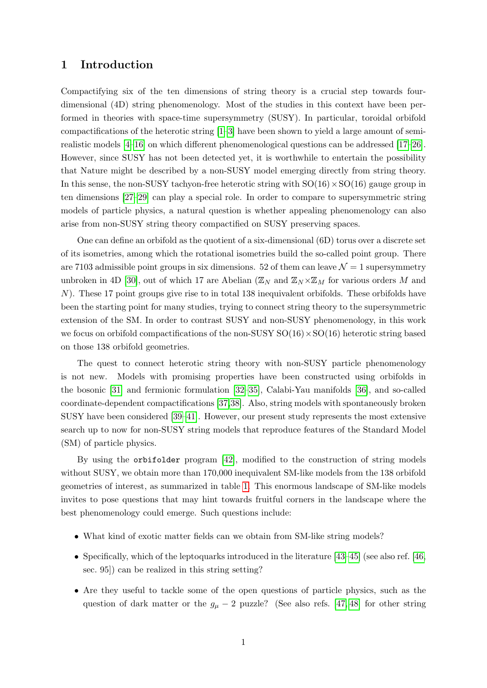## 1 Introduction

Compactifying six of the ten dimensions of string theory is a crucial step towards fourdimensional (4D) string phenomenology. Most of the studies in this context have been performed in theories with space-time supersymmetry (SUSY). In particular, toroidal orbifold compactifications of the heterotic string [\[1–](#page-24-0)[3\]](#page-24-1) have been shown to yield a large amount of semirealistic models [\[4–](#page-24-2)[16\]](#page-24-3) on which different phenomenological questions can be addressed [\[17–](#page-24-4)[26\]](#page-25-0). However, since SUSY has not been detected yet, it is worthwhile to entertain the possibility that Nature might be described by a non-SUSY model emerging directly from string theory. In this sense, the non-SUSY tachyon-free heterotic string with  $SO(16) \times SO(16)$  gauge group in ten dimensions [\[27–](#page-25-1)[29\]](#page-25-2) can play a special role. In order to compare to supersymmetric string models of particle physics, a natural question is whether appealing phenomenology can also arise from non-SUSY string theory compactified on SUSY preserving spaces.

One can define an orbifold as the quotient of a six-dimensional (6D) torus over a discrete set of its isometries, among which the rotational isometries build the so-called point group. There are 7103 admissible point groups in six dimensions. 52 of them can leave  $\mathcal{N}=1$  supersymmetry unbroken in 4D [\[30\]](#page-25-3), out of which 17 are Abelian ( $\mathbb{Z}_N$  and  $\mathbb{Z}_N\times\mathbb{Z}_M$  for various orders M and N). These 17 point groups give rise to in total 138 inequivalent orbifolds. These orbifolds have been the starting point for many studies, trying to connect string theory to the supersymmetric extension of the SM. In order to contrast SUSY and non-SUSY phenomenology, in this work we focus on orbifold compactifications of the non-SUSY  $SO(16) \times SO(16)$  heterotic string based on those 138 orbifold geometries.

The quest to connect heterotic string theory with non-SUSY particle phenomenology is not new. Models with promising properties have been constructed using orbifolds in the bosonic [\[31\]](#page-25-4) and fermionic formulation [\[32–](#page-25-5)[35\]](#page-25-6), Calabi-Yau manifolds [\[36\]](#page-26-0), and so-called coordinate-dependent compactifications [\[37,](#page-26-1)[38\]](#page-26-2). Also, string models with spontaneously broken SUSY have been considered [\[39–](#page-26-3)[41\]](#page-26-4). However, our present study represents the most extensive search up to now for non-SUSY string models that reproduce features of the Standard Model (SM) of particle physics.

By using the orbifolder program [\[42\]](#page-26-5), modified to the construction of string models without SUSY, we obtain more than 170,000 inequivalent SM-like models from the 138 orbifold geometries of interest, as summarized in table [1.](#page-4-0) This enormous landscape of SM-like models invites to pose questions that may hint towards fruitful corners in the landscape where the best phenomenology could emerge. Such questions include:

- What kind of exotic matter fields can we obtain from SM-like string models?
- Specifically, which of the leptoquarks introduced in the literature [\[43–](#page-26-6)[45\]](#page-26-7) (see also ref. [\[46,](#page-26-8) sec. 95]) can be realized in this string setting?
- Are they useful to tackle some of the open questions of particle physics, such as the question of dark matter or the  $g_{\mu} - 2$  puzzle? (See also refs. [\[47,](#page-26-9) [48\]](#page-26-10) for other string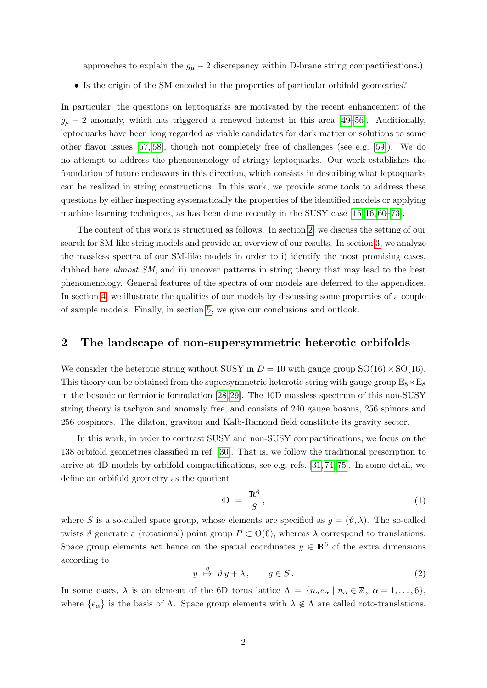approaches to explain the  $g_{\mu} - 2$  discrepancy within D-brane string compactifications.)

• Is the origin of the SM encoded in the properties of particular orbifold geometries?

In particular, the questions on leptoquarks are motivated by the recent enhancement of the  $g_{\mu}$  – 2 anomaly, which has triggered a renewed interest in this area [\[49–](#page-26-11)[56\]](#page-27-0). Additionally, leptoquarks have been long regarded as viable candidates for dark matter or solutions to some other flavor issues [\[57,](#page-27-1) [58\]](#page-27-2), though not completely free of challenges (see e.g. [\[59\]](#page-27-3)). We do no attempt to address the phenomenology of stringy leptoquarks. Our work establishes the foundation of future endeavors in this direction, which consists in describing what leptoquarks can be realized in string constructions. In this work, we provide some tools to address these questions by either inspecting systematically the properties of the identified models or applying machine learning techniques, as has been done recently in the SUSY case [\[15,](#page-24-5) [16,](#page-24-3) [60–](#page-27-4)[73\]](#page-28-0).

The content of this work is structured as follows. In section [2,](#page-2-0) we discuss the setting of our search for SM-like string models and provide an overview of our results. In section [3,](#page-5-0) we analyze the massless spectra of our SM-like models in order to i) identify the most promising cases, dubbed here *almost SM*, and ii) uncover patterns in string theory that may lead to the best phenomenology. General features of the spectra of our models are deferred to the appendices. In section [4,](#page-13-0) we illustrate the qualities of our models by discussing some properties of a couple of sample models. Finally, in section [5,](#page-15-0) we give our conclusions and outlook.

### <span id="page-2-0"></span>2 The landscape of non-supersymmetric heterotic orbifolds

We consider the heterotic string without SUSY in  $D = 10$  with gauge group  $SO(16) \times SO(16)$ . This theory can be obtained from the supersymmetric heterotic string with gauge group  $E_8 \times E_8$ in the bosonic or fermionic formulation [\[28,](#page-25-7) [29\]](#page-25-2). The 10D massless spectrum of this non-SUSY string theory is tachyon and anomaly free, and consists of 240 gauge bosons, 256 spinors and 256 cospinors. The dilaton, graviton and Kalb-Ramond field constitute its gravity sector.

In this work, in order to contrast SUSY and non-SUSY compactifications, we focus on the 138 orbifold geometries classified in ref. [\[30\]](#page-25-3). That is, we follow the traditional prescription to arrive at 4D models by orbifold compactifications, see e.g. refs. [\[31,](#page-25-4) [74,](#page-28-1) [75\]](#page-28-2). In some detail, we define an orbifold geometry as the quotient

$$
\Phi = \frac{\mathbb{R}^6}{S},\tag{1}
$$

where S is a so-called space group, whose elements are specified as  $g = (\vartheta, \lambda)$ . The so-called twists  $\vartheta$  generate a (rotational) point group  $P \subset O(6)$ , whereas  $\lambda$  correspond to translations. Space group elements act hence on the spatial coordinates  $y \in \mathbb{R}^6$  of the extra dimensions according to

$$
y \stackrel{g}{\mapsto} \vartheta y + \lambda, \qquad g \in S. \tag{2}
$$

In some cases,  $\lambda$  is an element of the 6D torus lattice  $\Lambda = \{n_{\alpha}e_{\alpha} \mid n_{\alpha} \in \mathbb{Z}, \alpha = 1, \ldots, 6\},\$ where  ${e_{\alpha}}$  is the basis of  $\Lambda$ . Space group elements with  $\lambda \notin \Lambda$  are called roto-translations.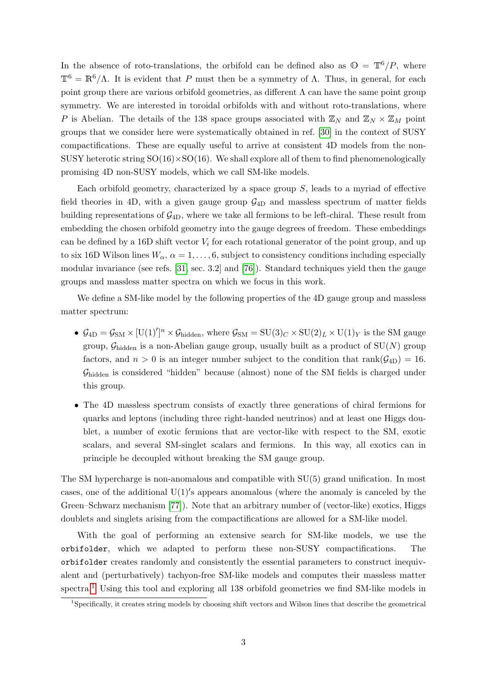In the absence of roto-translations, the orbifold can be defined also as  $\mathbb{O} = \mathbb{T}^6/P$ , where  $\mathbb{T}^6 = \mathbb{R}^6/\Lambda$ . It is evident that P must then be a symmetry of Λ. Thus, in general, for each point group there are various orbifold geometries, as different  $\Lambda$  can have the same point group symmetry. We are interested in toroidal orbifolds with and without roto-translations, where P is Abelian. The details of the 138 space groups associated with  $\mathbb{Z}_N$  and  $\mathbb{Z}_N \times \mathbb{Z}_M$  point groups that we consider here were systematically obtained in ref. [\[30\]](#page-25-3) in the context of SUSY compactifications. These are equally useful to arrive at consistent 4D models from the non-SUSY heterotic string  $SO(16) \times SO(16)$ . We shall explore all of them to find phenomenologically promising 4D non-SUSY models, which we call SM-like models.

Each orbifold geometry, characterized by a space group  $S$ , leads to a myriad of effective field theories in 4D, with a given gauge group  $\mathcal{G}_{4D}$  and massless spectrum of matter fields building representations of  $\mathcal{G}_{4D}$ , where we take all fermions to be left-chiral. These result from embedding the chosen orbifold geometry into the gauge degrees of freedom. These embeddings can be defined by a 16D shift vector  $V_i$  for each rotational generator of the point group, and up to six 16D Wilson lines  $W_{\alpha}$ ,  $\alpha = 1, \ldots, 6$ , subject to consistency conditions including especially modular invariance (see refs. [\[31,](#page-25-4) sec. 3.2] and [\[76\]](#page-28-3)). Standard techniques yield then the gauge groups and massless matter spectra on which we focus in this work.

We define a SM-like model by the following properties of the 4D gauge group and massless matter spectrum:

- $\mathcal{G}_{4D} = \mathcal{G}_{SM} \times [U(1)]^n \times \mathcal{G}_{hidden}$ , where  $\mathcal{G}_{SM} = SU(3)_C \times SU(2)_L \times U(1)_Y$  is the SM gauge group,  $\mathcal{G}_{\text{hidden}}$  is a non-Abelian gauge group, usually built as a product of  $SU(N)$  group factors, and  $n > 0$  is an integer number subject to the condition that rank $(\mathcal{G}_{4D}) = 16$ .  $\mathcal{G}_{\text{hidden}}$  is considered "hidden" because (almost) none of the SM fields is charged under this group.
- The 4D massless spectrum consists of exactly three generations of chiral fermions for quarks and leptons (including three right-handed neutrinos) and at least one Higgs doublet, a number of exotic fermions that are vector-like with respect to the SM, exotic scalars, and several SM-singlet scalars and fermions. In this way, all exotics can in principle be decoupled without breaking the SM gauge group.

The SM hypercharge is non-anomalous and compatible with SU(5) grand unification. In most cases, one of the additional  $U(1)'s$  appears anomalous (where the anomaly is canceled by the Green–Schwarz mechanism [\[77\]](#page-28-4)). Note that an arbitrary number of (vector-like) exotics, Higgs doublets and singlets arising from the compactifications are allowed for a SM-like model.

With the goal of performing an extensive search for SM-like models, we use the orbifolder, which we adapted to perform these non-SUSY compactifications. The orbifolder creates randomly and consistently the essential parameters to construct inequivalent and (perturbatively) tachyon-free SM-like models and computes their massless matter spectra.[1](#page-3-0) Using this tool and exploring all 138 orbifold geometries we find SM-like models in

<span id="page-3-0"></span><sup>&</sup>lt;sup>1</sup>Specifically, it creates string models by choosing shift vectors and Wilson lines that describe the geometrical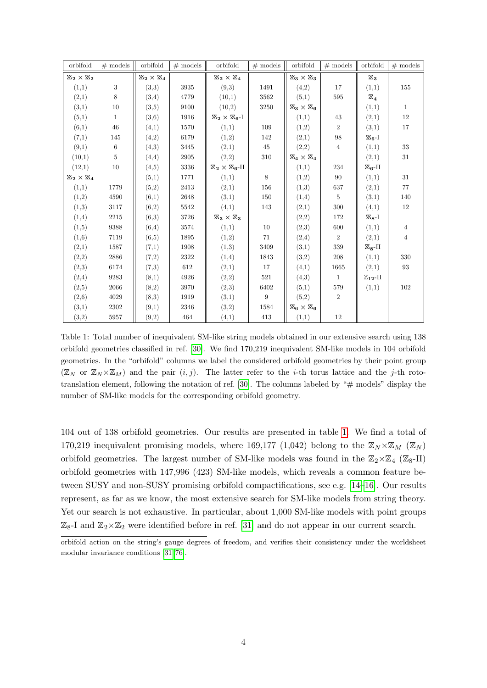| orbifold                         | $\#$ models      | orbifold                         | $#$ models | orbifold                              | $#$ models | orbifold                         | $\#$ models    | orbifold              | $#$ models     |
|----------------------------------|------------------|----------------------------------|------------|---------------------------------------|------------|----------------------------------|----------------|-----------------------|----------------|
| $\mathbb{Z}_2\times\mathbb{Z}_2$ |                  | $\mathbb{Z}_2\times\mathbb{Z}_4$ |            | $\mathbb{Z}_2\times\mathbb{Z}_4$      |            | $\mathbb{Z}_3\times\mathbb{Z}_3$ |                | $\mathbb{Z}_3$        |                |
| (1,1)                            | $\boldsymbol{3}$ | (3,3)                            | 3935       | (9,3)                                 | 1491       | (4,2)                            | 17             | (1,1)                 | 155            |
| (2,1)                            | 8                | (3,4)                            | 4779       | (10,1)                                | 3562       | (5,1)                            | 595            | $\mathbb{Z}_4$        |                |
| (3,1)                            | 10               | (3,5)                            | 9100       | (10,2)                                | 3250       | $\mathbb{Z}_3\times\mathbb{Z}_6$ |                | (1,1)                 | $\mathbf{1}$   |
| (5,1)                            | $\mathbf{1}$     | (3,6)                            | 1916       | $\mathbb{Z}_2\times \mathbb{Z}_6$ -I  |            | (1,1)                            | 43             | (2,1)                 | 12             |
| (6,1)                            | 46               | (4,1)                            | 1570       | (1,1)                                 | 109        | (1,2)                            | 2              | (3,1)                 | 17             |
| (7,1)                            | 145              | (4,2)                            | 6179       | (1,2)                                 | 142        | (2,1)                            | 98             | $\mathbb{Z}_{6}$ -I   |                |
| (9,1)                            | $6\phantom{.}$   | (4,3)                            | 3445       | (2,1)                                 | 45         | (2,2)                            | $\overline{4}$ | (1,1)                 | 33             |
| (10,1)                           | 5                | (4,4)                            | 2905       | (2,2)                                 | 310        | $\mathbb{Z}_4\times\mathbb{Z}_4$ |                | (2,1)                 | 31             |
| (12,1)                           | 10               | (4,5)                            | 3336       | $\mathbb{Z}_2\times \mathbb{Z}_6$ -II |            | (1,1)                            | 234            | $\mathbb{Z}_6$ -II    |                |
| $\mathbb{Z}_2\times\mathbb{Z}_4$ |                  | (5,1)                            | 1771       | (1,1)                                 | 8          | (1,2)                            | 90             | (1,1)                 | 31             |
| (1,1)                            | 1779             | (5,2)                            | 2413       | (2,1)                                 | 156        | (1,3)                            | 637            | (2,1)                 | 77             |
| (1,2)                            | 4590             | (6,1)                            | 2648       | (3,1)                                 | 150        | (1,4)                            | 5              | (3,1)                 | 140            |
| (1,3)                            | 3117             | (6,2)                            | 5542       | (4,1)                                 | 143        | (2,1)                            | 300            | (4,1)                 | 12             |
| (1,4)                            | 2215             | (6,3)                            | 3726       | $\mathbb{Z}_3\times\mathbb{Z}_3$      |            | (2,2)                            | 172            | $\mathbb{Z}_{8}$ -I   |                |
| (1,5)                            | 9388             | (6,4)                            | 3574       | (1,1)                                 | 10         | (2,3)                            | 600            | (1,1)                 | $\overline{4}$ |
| (1,6)                            | 7119             | (6,5)                            | 1895       | (1,2)                                 | 71         | (2,4)                            | $\overline{2}$ | (2,1)                 | $\overline{4}$ |
| (2,1)                            | 1587             | (7,1)                            | 1908       | (1,3)                                 | 3409       | (3,1)                            | 339            | $\mathbb{Z}_8$ -II    |                |
| (2,2)                            | 2886             | (7,2)                            | 2322       | (1,4)                                 | 1843       | (3,2)                            | 208            | (1,1)                 | 330            |
| (2,3)                            | 6174             | (7,3)                            | 612        | (2,1)                                 | 17         | (4,1)                            | 1665           | (2,1)                 | 93             |
| (2,4)                            | 9283             | (8,1)                            | 4926       | (2,2)                                 | 521        | (4,3)                            | 1              | $\mathbb{Z}_{12}$ -II |                |
| (2,5)                            | 2066             | (8,2)                            | 3970       | (2,3)                                 | 6402       | (5,1)                            | 579            | (1,1)                 | 102            |
| (2,6)                            | 4029             | (8,3)                            | 1919       | (3,1)                                 | 9          | (5,2)                            | $\overline{2}$ |                       |                |
| (3,1)                            | 2302             | (9,1)                            | 2346       | (3,2)                                 | 1584       | $\mathbb{Z}_6\times\mathbb{Z}_6$ |                |                       |                |
| (3,2)                            | 5957             | (9,2)                            | 464        | (4,1)                                 | 413        | (1,1)                            | 12             |                       |                |

<span id="page-4-0"></span>Table 1: Total number of inequivalent SM-like string models obtained in our extensive search using 138 orbifold geometries classified in ref. [\[30\]](#page-25-3). We find 170,219 inequivalent SM-like models in 104 orbifold geometries. In the "orbifold" columns we label the considered orbifold geometries by their point group  $(\mathbb{Z}_N$  or  $\mathbb{Z}_N\times\mathbb{Z}_M$  and the pair  $(i, j)$ . The latter refer to the *i*-th torus lattice and the *j*-th roto-translation element, following the notation of ref. [\[30\]](#page-25-3). The columns labeled by " $#$  models" display the number of SM-like models for the corresponding orbifold geometry.

104 out of 138 orbifold geometries. Our results are presented in table [1.](#page-4-0) We find a total of 170,219 inequivalent promising models, where 169,177 (1,042) belong to the  $\mathbb{Z}_N\times\mathbb{Z}_M$  ( $\mathbb{Z}_N$ ) orbifold geometries. The largest number of SM-like models was found in the  $\mathbb{Z}_2\times\mathbb{Z}_4$  ( $\mathbb{Z}_8$ -II) orbifold geometries with 147,996 (423) SM-like models, which reveals a common feature between SUSY and non-SUSY promising orbifold compactifications, see e.g. [\[14–](#page-24-6)[16\]](#page-24-3). Our results represent, as far as we know, the most extensive search for SM-like models from string theory. Yet our search is not exhaustive. In particular, about 1,000 SM-like models with point groups  $\mathbb{Z}_8$ -I and  $\mathbb{Z}_2\times\mathbb{Z}_2$  were identified before in ref. [\[31\]](#page-25-4) and do not appear in our current search.

orbifold action on the string's gauge degrees of freedom, and verifies their consistency under the worldsheet modular invariance conditions [\[31,](#page-25-4) [76\]](#page-28-3).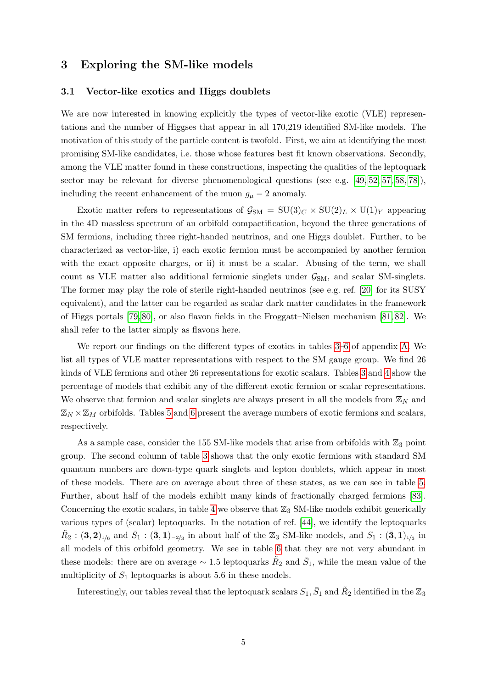# <span id="page-5-0"></span>3 Exploring the SM-like models

#### 3.1 Vector-like exotics and Higgs doublets

We are now interested in knowing explicitly the types of vector-like exotic (VLE) representations and the number of Higgses that appear in all 170,219 identified SM-like models. The motivation of this study of the particle content is twofold. First, we aim at identifying the most promising SM-like candidates, i.e. those whose features best fit known observations. Secondly, among the VLE matter found in these constructions, inspecting the qualities of the leptoquark sector may be relevant for diverse phenomenological questions (see e.g.  $[49, 52, 57, 58, 78]$  $[49, 52, 57, 58, 78]$  $[49, 52, 57, 58, 78]$  $[49, 52, 57, 58, 78]$  $[49, 52, 57, 58, 78]$ ), including the recent enhancement of the muon  $g_{\mu} - 2$  anomaly.

Exotic matter refers to representations of  $\mathcal{G}_{SM} = SU(3)_C \times SU(2)_L \times U(1)_Y$  appearing in the 4D massless spectrum of an orbifold compactification, beyond the three generations of SM fermions, including three right-handed neutrinos, and one Higgs doublet. Further, to be characterized as vector-like, i) each exotic fermion must be accompanied by another fermion with the exact opposite charges, or ii) it must be a scalar. Abusing of the term, we shall count as VLE matter also additional fermionic singlets under  $\mathcal{G}_{SM}$ , and scalar SM-singlets. The former may play the role of sterile right-handed neutrinos (see e.g. ref. [\[20\]](#page-25-8) for its SUSY equivalent), and the latter can be regarded as scalar dark matter candidates in the framework of Higgs portals [\[79,](#page-28-6) [80\]](#page-28-7), or also flavon fields in the Froggatt–Nielsen mechanism [\[81,](#page-28-8) [82\]](#page-28-9). We shall refer to the latter simply as flavons here.

We report our findings on the different types of exotics in tables [3–](#page-17-0)[6](#page-20-0) of appendix [A.](#page-17-1) We list all types of VLE matter representations with respect to the SM gauge group. We find 26 kinds of VLE fermions and other 26 representations for exotic scalars. Tables [3](#page-17-0) and [4](#page-18-0) show the percentage of models that exhibit any of the different exotic fermion or scalar representations. We observe that fermion and scalar singlets are always present in all the models from  $\mathbb{Z}_N$  and  $\mathbb{Z}_N\times\mathbb{Z}_M$  orbifolds. Tables [5](#page-19-0) and [6](#page-20-0) present the average numbers of exotic fermions and scalars, respectively.

As a sample case, consider the 155 SM-like models that arise from orbifolds with  $\mathbb{Z}_3$  point group. The second column of table [3](#page-17-0) shows that the only exotic fermions with standard SM quantum numbers are down-type quark singlets and lepton doublets, which appear in most of these models. There are on average about three of these states, as we can see in table [5.](#page-19-0) Further, about half of the models exhibit many kinds of fractionally charged fermions [\[83\]](#page-28-10). Concerning the exotic scalars, in table [4](#page-18-0) we observe that  $\mathbb{Z}_3$  SM-like models exhibit generically various types of (scalar) leptoquarks. In the notation of ref. [\[44\]](#page-26-13), we identify the leptoquarks  $\tilde{R}_2$ :  $(3,2)_{1/6}$  and  $\bar{S}_1$ :  $(\bar{3},1)_{-2/3}$  in about half of the  $\mathbb{Z}_3$  SM-like models, and  $S_1$ :  $(\bar{3},1)_{1/3}$  in all models of this orbifold geometry. We see in table [6](#page-20-0) that they are not very abundant in these models: there are on average  $\sim 1.5$  leptoquarks  $\tilde{R}_2$  and  $\bar{S}_1$ , while the mean value of the multiplicity of  $S_1$  leptoquarks is about 5.6 in these models.

Interestingly, our tables reveal that the leptoquark scalars  $S_1, \bar{S}_1$  and  $\tilde{R}_2$  identified in the  $\mathbb{Z}_3$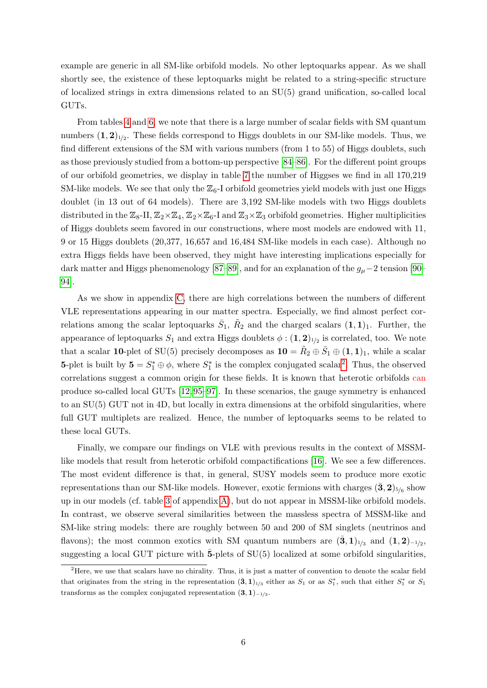example are generic in all SM-like orbifold models. No other leptoquarks appear. As we shall shortly see, the existence of these leptoquarks might be related to a string-specific structure of localized strings in extra dimensions related to an SU(5) grand unification, so-called local GUTs.

From tables [4](#page-18-0) and [6,](#page-20-0) we note that there is a large number of scalar fields with SM quantum numbers  $(1, 2)_{1/2}$ . These fields correspond to Higgs doublets in our SM-like models. Thus, we find different extensions of the SM with various numbers (from 1 to 55) of Higgs doublets, such as those previously studied from a bottom-up perspective [\[84–](#page-28-11)[86\]](#page-28-12). For the different point groups of our orbifold geometries, we display in table [7](#page-21-0) the number of Higgses we find in all 170,219 SM-like models. We see that only the  $\mathbb{Z}_6$ -I orbifold geometries yield models with just one Higgs doublet (in 13 out of 64 models). There are 3,192 SM-like models with two Higgs doublets distributed in the  $\mathbb{Z}_8$ -II,  $\mathbb{Z}_2\times\mathbb{Z}_4$ ,  $\mathbb{Z}_2\times\mathbb{Z}_6$ -I and  $\mathbb{Z}_3\times\mathbb{Z}_3$  orbifold geometries. Higher multiplicities of Higgs doublets seem favored in our constructions, where most models are endowed with 11, 9 or 15 Higgs doublets (20,377, 16,657 and 16,484 SM-like models in each case). Although no extra Higgs fields have been observed, they might have interesting implications especially for dark matter and Higgs phenomenology [\[87–](#page-28-13)[89\]](#page-28-14), and for an explanation of the  $g_{\mu}$  – 2 tension [\[90–](#page-28-15) [94\]](#page-29-0).

As we show in appendix [C,](#page-23-0) there are high correlations between the numbers of different VLE representations appearing in our matter spectra. Especially, we find almost perfect correlations among the scalar leptoquarks  $\bar{S}_1$ ,  $\tilde{R}_2$  and the charged scalars  $(1, 1)_1$ . Further, the appearance of leptoquarks  $S_1$  and extra Higgs doublets  $\phi : (1, 2)_{1/2}$  is correlated, too. We note that a scalar 10-plet of SU(5) precisely decomposes as  $10 = \tilde{R}_2 \oplus \bar{S}_1 \oplus (1,1)_1$ , while a scalar **5**-plet is built by  $\mathbf{5} = S_1^* \oplus \phi$ , where  $S_1^*$  is the complex conjugated scalar<sup>[2](#page-6-0)</sup>. Thus, the observed correlations suggest a common origin for these fields. It is known that heterotic orbifolds can produce so-called local GUTs [\[12,](#page-24-7) [95](#page-29-1)[–97\]](#page-29-2). In these scenarios, the gauge symmetry is enhanced to an SU(5) GUT not in 4D, but locally in extra dimensions at the orbifold singularities, where full GUT multiplets are realized. Hence, the number of leptoquarks seems to be related to these local GUTs.

Finally, we compare our findings on VLE with previous results in the context of MSSMlike models that result from heterotic orbifold compactifications [\[16\]](#page-24-3). We see a few differences. The most evident difference is that, in general, SUSY models seem to produce more exotic representations than our SM-like models. However, exotic fermions with charges  $(\bar{\bf 3}, {\bf 2})_{5/6}$  show up in our models (cf. table [3](#page-17-0) of appendix [A\)](#page-17-1), but do not appear in MSSM-like orbifold models. In contrast, we observe several similarities between the massless spectra of MSSM-like and SM-like string models: there are roughly between 50 and 200 of SM singlets (neutrinos and flavons); the most common exotics with SM quantum numbers are  $(\bar{\bf 3},{\bf 1})_{1/3}$  and  $({\bf 1},{\bf 2})_{-1/2}$ , suggesting a local GUT picture with  $\bar{5}$ -plets of SU(5) localized at some orbifold singularities,

<span id="page-6-0"></span><sup>&</sup>lt;sup>2</sup>Here, we use that scalars have no chirality. Thus, it is just a matter of convention to denote the scalar field that originates from the string in the representation  $(\bar{3},1)_{1/3}$  either as  $S_1$  or as  $S_1^*$ , such that either  $S_1^*$  or  $S_1$ transforms as the complex conjugated representation  $(3, 1)_{-1/3}$ .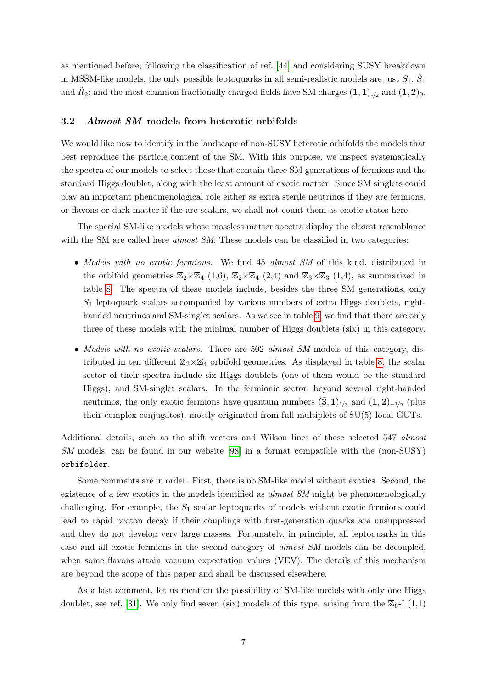<span id="page-7-1"></span>as mentioned before; following the classification of ref. [\[44\]](#page-26-13) and considering SUSY breakdown in MSSM-like models, the only possible leptoquarks in all semi-realistic models are just  $S_1$ ,  $\bar{S}_1$ and  $\tilde{R}_2$ ; and the most common fractionally charged fields have SM charges  $(1, 1)_{1/2}$  and  $(1, 2)_0$ .

#### <span id="page-7-0"></span>3.2 Almost SM models from heterotic orbifolds

We would like now to identify in the landscape of non-SUSY heterotic orbifolds the models that best reproduce the particle content of the SM. With this purpose, we inspect systematically the spectra of our models to select those that contain three SM generations of fermions and the standard Higgs doublet, along with the least amount of exotic matter. Since SM singlets could play an important phenomenological role either as extra sterile neutrinos if they are fermions, or flavons or dark matter if the are scalars, we shall not count them as exotic states here.

The special SM-like models whose massless matter spectra display the closest resemblance with the SM are called here *almost SM*. These models can be classified in two categories:

- Models with no exotic fermions. We find 45 almost SM of this kind, distributed in the orbifold geometries  $\mathbb{Z}_2\times\mathbb{Z}_4$  (1,6),  $\mathbb{Z}_2\times\mathbb{Z}_4$  (2,4) and  $\mathbb{Z}_3\times\mathbb{Z}_3$  (1,4), as summarized in table [8.](#page-22-0) The spectra of these models include, besides the three SM generations, only  $S_1$  leptoquark scalars accompanied by various numbers of extra Higgs doublets, righthanded neutrinos and SM-singlet scalars. As we see in table [9,](#page-22-1) we find that there are only three of these models with the minimal number of Higgs doublets (six) in this category.
- Models with no exotic scalars. There are 502 almost SM models of this category, distributed in ten different  $\mathbb{Z}_2\times\mathbb{Z}_4$  orbifold geometries. As displayed in table [8,](#page-22-0) the scalar sector of their spectra include six Higgs doublets (one of them would be the standard Higgs), and SM-singlet scalars. In the fermionic sector, beyond several right-handed neutrinos, the only exotic fermions have quantum numbers  $(\bar{\bf 3},{\bf 1})_{1/3}$  and  $({\bf 1},{\bf 2})_{-1/2}$  (plus their complex conjugates), mostly originated from full multiplets of SU(5) local GUTs.

Additional details, such as the shift vectors and Wilson lines of these selected 547 almost SM models, can be found in our website [\[98\]](#page-29-3) in a format compatible with the (non-SUSY) orbifolder.

Some comments are in order. First, there is no SM-like model without exotics. Second, the existence of a few exotics in the models identified as *almost SM* might be phenomenologically challenging. For example, the  $S_1$  scalar leptoquarks of models without exotic fermions could lead to rapid proton decay if their couplings with first-generation quarks are unsuppressed and they do not develop very large masses. Fortunately, in principle, all leptoquarks in this case and all exotic fermions in the second category of almost SM models can be decoupled, when some flavons attain vacuum expectation values (VEV). The details of this mechanism are beyond the scope of this paper and shall be discussed elsewhere.

As a last comment, let us mention the possibility of SM-like models with only one Higgs doublet, see ref. [\[31\]](#page-25-4). We only find seven (six) models of this type, arising from the  $\mathbb{Z}_6$ -I (1,1)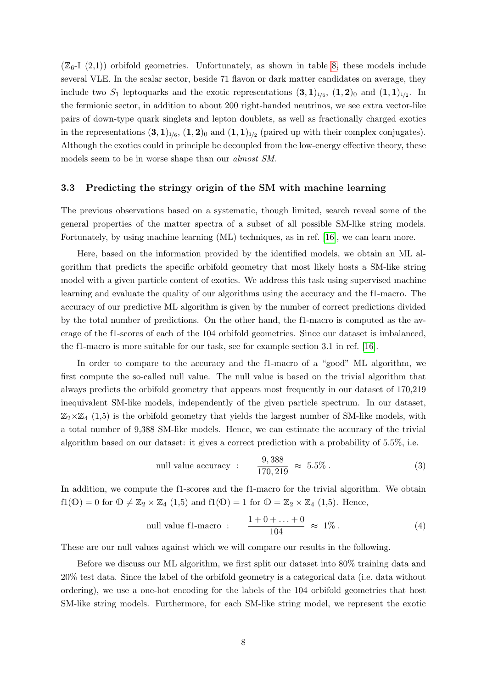$(\mathbb{Z}_6$ -I  $(2,1)$ ) orbifold geometries. Unfortunately, as shown in table [8,](#page-22-0) these models include several VLE. In the scalar sector, beside 71 flavon or dark matter candidates on average, they include two  $S_1$  leptoquarks and the exotic representations  $(3,1)_{1/6}$ ,  $(1,2)_0$  and  $(1,1)_{1/2}$ . In the fermionic sector, in addition to about 200 right-handed neutrinos, we see extra vector-like pairs of down-type quark singlets and lepton doublets, as well as fractionally charged exotics in the representations  $(3,1)_{1/6}$ ,  $(1,2)_0$  and  $(1,1)_{1/2}$  (paired up with their complex conjugates). Although the exotics could in principle be decoupled from the low-energy effective theory, these models seem to be in worse shape than our almost SM.

#### <span id="page-8-0"></span>3.3 Predicting the stringy origin of the SM with machine learning

The previous observations based on a systematic, though limited, search reveal some of the general properties of the matter spectra of a subset of all possible SM-like string models. Fortunately, by using machine learning (ML) techniques, as in ref. [\[16\]](#page-24-3), we can learn more.

Here, based on the information provided by the identified models, we obtain an ML algorithm that predicts the specific orbifold geometry that most likely hosts a SM-like string model with a given particle content of exotics. We address this task using supervised machine learning and evaluate the quality of our algorithms using the accuracy and the f1-macro. The accuracy of our predictive ML algorithm is given by the number of correct predictions divided by the total number of predictions. On the other hand, the f1-macro is computed as the average of the f1-scores of each of the 104 orbifold geometries. Since our dataset is imbalanced, the f1-macro is more suitable for our task, see for example section 3.1 in ref. [\[16\]](#page-24-3).

In order to compare to the accuracy and the f1-macro of a "good" ML algorithm, we first compute the so-called null value. The null value is based on the trivial algorithm that always predicts the orbifold geometry that appears most frequently in our dataset of 170,219 inequivalent SM-like models, independently of the given particle spectrum. In our dataset,  $\mathbb{Z}_2\times\mathbb{Z}_4$  (1,5) is the orbifold geometry that yields the largest number of SM-like models, with a total number of 9,388 SM-like models. Hence, we can estimate the accuracy of the trivial algorithm based on our dataset: it gives a correct prediction with a probability of 5.5%, i.e.

null value accuracy : 
$$
\frac{9,388}{170,219} \approx 5.5\%
$$
. (3)

In addition, we compute the f1-scores and the f1-macro for the trivial algorithm. We obtain  $f1(\mathbb{O}) = 0$  for  $\mathbb{O} \neq \mathbb{Z}_2 \times \mathbb{Z}_4$   $(1,5)$  and  $f1(\mathbb{O}) = 1$  for  $\mathbb{O} = \mathbb{Z}_2 \times \mathbb{Z}_4$   $(1,5)$ . Hence,

null value f1-macc: 
$$
\frac{1+0+\ldots+0}{104} \approx 1\% \,. \tag{4}
$$

These are our null values against which we will compare our results in the following.

Before we discuss our ML algorithm, we first split our dataset into 80% training data and 20% test data. Since the label of the orbifold geometry is a categorical data (i.e. data without ordering), we use a one-hot encoding for the labels of the 104 orbifold geometries that host SM-like string models. Furthermore, for each SM-like string model, we represent the exotic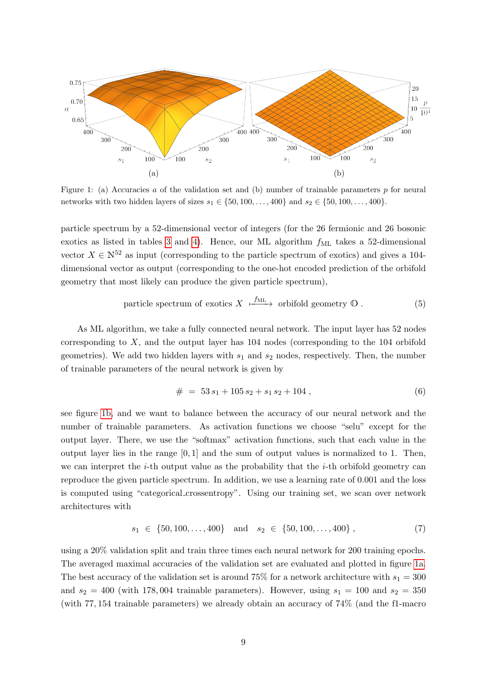<span id="page-9-1"></span>

<span id="page-9-0"></span>Figure 1: (a) Accuracies a of the validation set and (b) number of trainable parameters p for neural networks with two hidden layers of sizes  $s_1 \in \{50, 100, ..., 400\}$  and  $s_2 \in \{50, 100, ..., 400\}$ .

particle spectrum by a 52-dimensional vector of integers (for the 26 fermionic and 26 bosonic exotics as listed in tables [3](#page-17-0) and [4\)](#page-18-0). Hence, our ML algorithm  $f_{ML}$  takes a 52-dimensional vector  $X \in \mathbb{N}^{52}$  as input (corresponding to the particle spectrum of exotics) and gives a 104dimensional vector as output (corresponding to the one-hot encoded prediction of the orbifold geometry that most likely can produce the given particle spectrum),

particle spectrum of exotics 
$$
X \xrightarrow{f_{ML}}
$$
 orbifold geometry  $\mathbb{O}$ . (5)

As ML algorithm, we take a fully connected neural network. The input layer has 52 nodes corresponding to X, and the output layer has 104 nodes (corresponding to the 104 orbifold geometries). We add two hidden layers with  $s_1$  and  $s_2$  nodes, respectively. Then, the number of trainable parameters of the neural network is given by

$$
\# = 53 s_1 + 105 s_2 + s_1 s_2 + 104 , \tag{6}
$$

see figure [1b,](#page-9-0) and we want to balance between the accuracy of our neural network and the number of trainable parameters. As activation functions we choose "selu" except for the output layer. There, we use the "softmax" activation functions, such that each value in the output layer lies in the range  $[0, 1]$  and the sum of output values is normalized to 1. Then, we can interpret the  $i$ -th output value as the probability that the  $i$ -th orbifold geometry can reproduce the given particle spectrum. In addition, we use a learning rate of 0.001 and the loss is computed using "categorical crossentropy". Using our training set, we scan over network architectures with

$$
s_1 \in \{50, 100, \dots, 400\} \quad \text{and} \quad s_2 \in \{50, 100, \dots, 400\} \,, \tag{7}
$$

using a 20% validation split and train three times each neural network for 200 training epochs. The averaged maximal accuracies of the validation set are evaluated and plotted in figure [1a.](#page-9-1) The best accuracy of the validation set is around 75% for a network architecture with  $s_1 = 300$ and  $s_2 = 400$  (with 178, 004 trainable parameters). However, using  $s_1 = 100$  and  $s_2 = 350$ (with 77, 154 trainable parameters) we already obtain an accuracy of 74% (and the f1-macro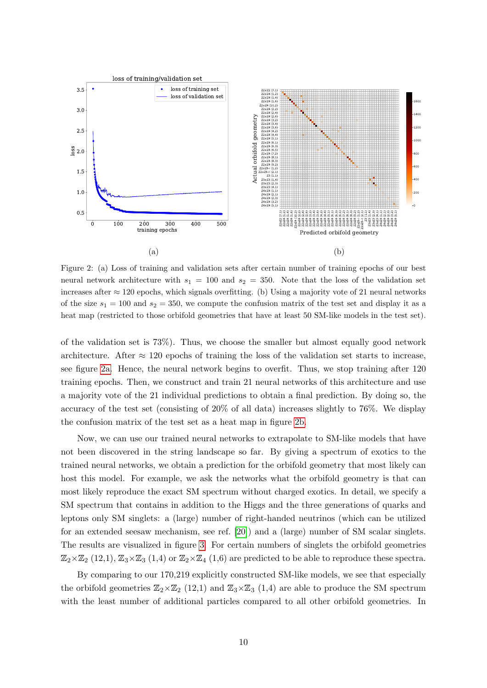<span id="page-10-0"></span>

<span id="page-10-1"></span>Figure 2: (a) Loss of training and validation sets after certain number of training epochs of our best neural network architecture with  $s_1 = 100$  and  $s_2 = 350$ . Note that the loss of the validation set increases after  $\approx$  120 epochs, which signals overfitting. (b) Using a majority vote of 21 neural networks of the size  $s_1 = 100$  and  $s_2 = 350$ , we compute the confusion matrix of the test set and display it as a heat map (restricted to those orbifold geometries that have at least 50 SM-like models in the test set).

of the validation set is 73%). Thus, we choose the smaller but almost equally good network architecture. After  $\approx$  120 epochs of training the loss of the validation set starts to increase, see figure [2a.](#page-10-0) Hence, the neural network begins to overfit. Thus, we stop training after 120 training epochs. Then, we construct and train 21 neural networks of this architecture and use a majority vote of the 21 individual predictions to obtain a final prediction. By doing so, the accuracy of the test set (consisting of 20% of all data) increases slightly to 76%. We display the confusion matrix of the test set as a heat map in figure [2b.](#page-10-1)

Now, we can use our trained neural networks to extrapolate to SM-like models that have not been discovered in the string landscape so far. By giving a spectrum of exotics to the trained neural networks, we obtain a prediction for the orbifold geometry that most likely can host this model. For example, we ask the networks what the orbifold geometry is that can most likely reproduce the exact SM spectrum without charged exotics. In detail, we specify a SM spectrum that contains in addition to the Higgs and the three generations of quarks and leptons only SM singlets: a (large) number of right-handed neutrinos (which can be utilized for an extended seesaw mechanism, see ref. [\[20\]](#page-25-8)) and a (large) number of SM scalar singlets. The results are visualized in figure [3.](#page-11-0) For certain numbers of singlets the orbifold geometries  $\mathbb{Z}_2\times\mathbb{Z}_2$  (12,1),  $\mathbb{Z}_3\times\mathbb{Z}_3$  (1,4) or  $\mathbb{Z}_2\times\mathbb{Z}_4$  (1,6) are predicted to be able to reproduce these spectra.

By comparing to our 170,219 explicitly constructed SM-like models, we see that especially the orbifold geometries  $\mathbb{Z}_2\times\mathbb{Z}_2$  (12,1) and  $\mathbb{Z}_3\times\mathbb{Z}_3$  (1,4) are able to produce the SM spectrum with the least number of additional particles compared to all other orbifold geometries. In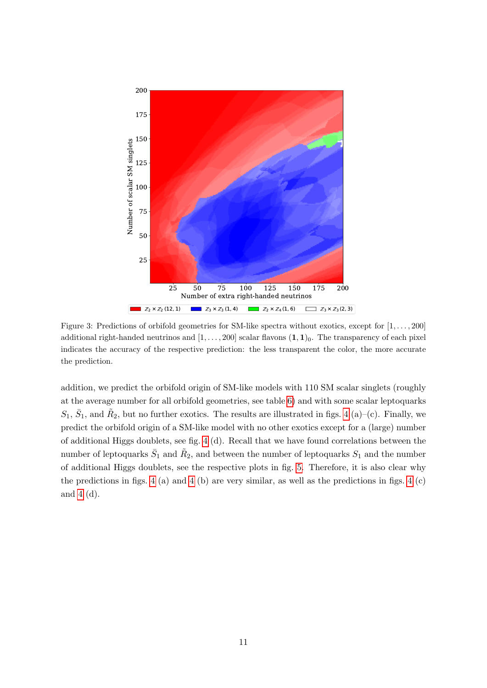

<span id="page-11-0"></span>Figure 3: Predictions of orbifold geometries for SM-like spectra without exotics, except for  $[1, \ldots, 200]$ additional right-handed neutrinos and  $[1, \ldots, 200]$  scalar flavons  $(1, 1)_0$ . The transparency of each pixel indicates the accuracy of the respective prediction: the less transparent the color, the more accurate the prediction.

addition, we predict the orbifold origin of SM-like models with 110 SM scalar singlets (roughly at the average number for all orbifold geometries, see table [6\)](#page-20-0) and with some scalar leptoquarks  $S_1, \bar{S}_1$ , and  $\tilde{R}_2$ , but no further exotics. The results are illustrated in figs. [4](#page-12-0) (a)–(c). Finally, we predict the orbifold origin of a SM-like model with no other exotics except for a (large) number of additional Higgs doublets, see fig. [4](#page-12-0) (d). Recall that we have found correlations between the number of leptoquarks  $\bar{S}_1$  and  $\tilde{R}_2$ , and between the number of leptoquarks  $S_1$  and the number of additional Higgs doublets, see the respective plots in fig. [5.](#page-23-1) Therefore, it is also clear why the predictions in figs. [4](#page-12-0) (a) and 4 (b) are very similar, as well as the predictions in figs. 4 (c) and [4](#page-12-0) (d).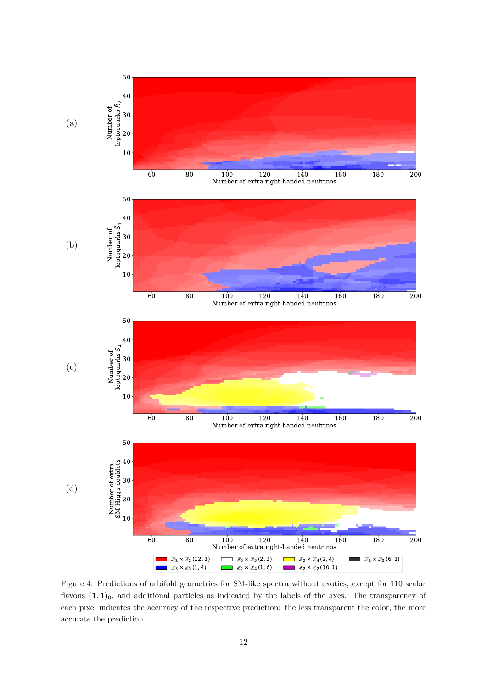

<span id="page-12-0"></span>Figure 4: Predictions of orbifold geometries for SM-like spectra without exotics, except for 110 scalar flavons  $(1, 1)_0$ , and additional particles as indicated by the labels of the axes. The transparency of each pixel indicates the accuracy of the respective prediction: the less transparent the color, the more accurate the prediction.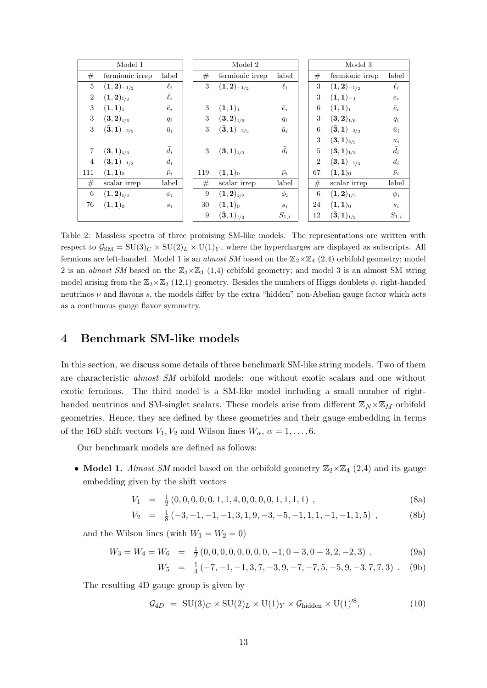|                | Model 1                          |                |     | Model 2                          |               |                | Model 3                          |               |
|----------------|----------------------------------|----------------|-----|----------------------------------|---------------|----------------|----------------------------------|---------------|
| #              | fermionic irrep                  | label          | #   | fermionic irrep                  | label         | #              | fermionic irrep                  | label         |
| 5              | $(\mathbf{1},\mathbf{2})_{-1/2}$ | $\ell_i$       | 3   | $(\mathbf{1},\mathbf{2})_{-1/2}$ | $\ell_i$      | 3              | $({\bf 1},{\bf 2})_{-1/2}$       | $\ell_i$      |
| $\overline{2}$ | $(1,2)_{1/2}$                    | $\bar{\ell}_i$ |     |                                  |               | 3              | $(1,1)_{-1}$                     | $e_i$         |
| 3              | $(1,1)_1$                        | $\bar{e}_i$    | 3   | $(1,1)_1$                        | $\bar{e}_i$   | 6              | $(1,1)_1$                        | $\bar{e}_i$   |
| 3              | $({\bf 3}, {\bf 2})_{1/6}$       | $q_i$          | 3   | $({\bf 3}, {\bf 2})_{1/6}$       | $q_i$         | 3              | $({\bf 3}, {\bf 2})_{1/6}$       | $q_i$         |
| 3              | $(\bar{\bf 3}, {\bf 1})_{-2/3}$  | $\bar{u}_i$    | 3   | $(\bar{\bf 3}, {\bf 1})_{-2/3}$  | $\bar{u}_i$   | 6              | $({\bf \bar{3}},{\bf 1})_{-2/3}$ | $\bar{u}_i$   |
|                |                                  |                |     |                                  |               | 3              | $({\bf 3}, {\bf 1})_{2/3}$       | $u_i$         |
| $\overline{7}$ | $(\bar{\bf 3}, {\bf 1})_{1/3}$   | $\bar{d}_i$    | 3   | $(\bar{\bf 3}, {\bf 1})_{1/3}$   | $\bar{d}_i$   | $\overline{5}$ | $(\bar{\bf 3}, {\bf 1})_{1/3}$   | $\bar{d}_i$   |
| $\overline{4}$ | $({\bf 3}, {\bf 1})_{-1/3}$      | $d_i$          |     |                                  |               | $\overline{2}$ | $(3,1)_{-1/3}$                   | $d_i$         |
| 111            | $(1,1)_{0}$                      | $\bar{\nu}_i$  | 119 | $(1,1)$ <sub>0</sub>             | $\bar{\nu}_i$ | 67             | $(1,1)$ <sub>0</sub>             | $\bar{\nu}_i$ |
| #              | scalar irrep                     | label          | #   | scalar irrep                     | label         | #              | scalar irrep                     | label         |
| 6              | $({\bf 1},{\bf 2})_{1/2}$        | $\phi_i$       | 9   | $({\bf 1},{\bf 2})_{1/2}$        | $\phi_i$      | 6              | $({\bf 1},{\bf 2})_{1/2}$        | $\phi_i$      |
| 76             | $(1,1)$ <sub>0</sub>             | $s_i$          | 30  | $(1,1)$ <sub>0</sub>             | $s_i$         | 24             | $(1,1)$ <sub>0</sub>             | $s_{\it i}$   |
|                |                                  |                | 9   | $(\bar{\bf 3}, {\bf 1})_{1/3}$   | $S_{1,i}$     | 12             | $(\bar{\bf 3}, {\bf 1})_{1/3}$   | $S_{1,i}$     |

<span id="page-13-1"></span>Table 2: Massless spectra of three promising SM-like models. The representations are written with respect to  $\mathcal{G}_{\text{SM}} = \text{SU}(3)_C \times \text{SU}(2)_L \times \text{U}(1)_Y$ , where the hypercharges are displayed as subscripts. All fermions are left-handed. Model 1 is an *almost SM* based on the  $\mathbb{Z}_2\times\mathbb{Z}_4$  (2,4) orbifold geometry; model 2 is an *almost SM* based on the  $\mathbb{Z}_3\times\mathbb{Z}_3$  (1,4) orbifold geometry; and model 3 is an almost SM string model arising from the  $\mathbb{Z}_2\times\mathbb{Z}_2$  (12,1) geometry. Besides the numbers of Higgs doublets  $\phi$ , right-handed neutrinos  $\bar{\nu}$  and flavons s, the models differ by the extra "hidden" non-Abelian gauge factor which acts as a continuous gauge flavor symmetry.

## <span id="page-13-0"></span>4 Benchmark SM-like models

In this section, we discuss some details of three benchmark SM-like string models. Two of them are characteristic almost SM orbifold models: one without exotic scalars and one without exotic fermions. The third model is a SM-like model including a small number of righthanded neutrinos and SM-singlet scalars. These models arise from different  $\mathbb{Z}_N\times\mathbb{Z}_M$  orbifold geometries. Hence, they are defined by these geometries and their gauge embedding in terms of the 16D shift vectors  $V_1, V_2$  and Wilson lines  $W_\alpha, \alpha = 1, \ldots, 6$ .

Our benchmark models are defined as follows:

• Model 1. Almost SM model based on the orbifold geometry  $\mathbb{Z}_2\times\mathbb{Z}_4$  (2,4) and its gauge embedding given by the shift vectors

$$
V_1 = \frac{1}{2}(0, 0, 0, 0, 0, 1, 1, 4, 0, 0, 0, 0, 1, 1, 1, 1), \qquad (8a)
$$

$$
V_2 = \frac{1}{8}(-3, -1, -1, -1, 3, 1, 9, -3, -5, -1, 1, 1, -1, -1, 1, 5) , \tag{8b}
$$

and the Wilson lines (with  $W_1 = W_2 = 0$ )

$$
W_3 = W_4 = W_6 = \frac{1}{2}(0, 0, 0, 0, 0, 0, 0, 0, -1, 0 - 3, 0 - 3, 2, -2, 3), \tag{9a}
$$

$$
W_5 = \frac{1}{4}(-7, -1, -1, 3, 7, -3, 9, -7, -7, 5, -5, 9, -3, 7, 7, 3) \tag{9b}
$$

The resulting 4D gauge group is given by

$$
\mathcal{G}_{4D} = \text{SU}(3)_C \times \text{SU}(2)_L \times \text{U}(1)_Y \times \mathcal{G}_{\text{hidden}} \times \text{U}(1)^{8},\tag{10}
$$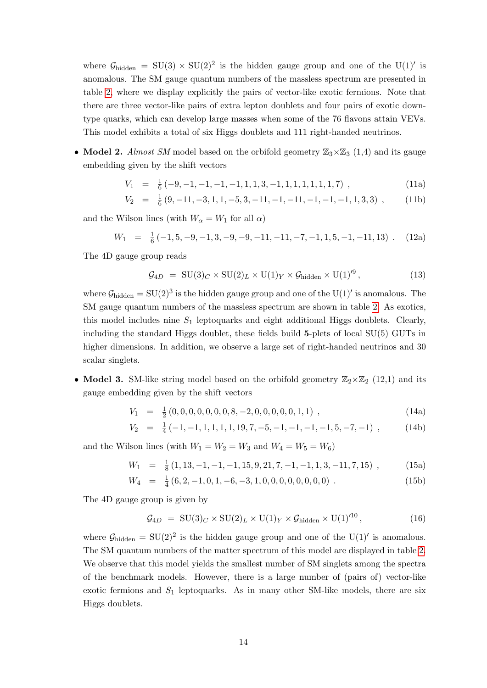where  $G_{\text{hidden}} = SU(3) \times SU(2)^2$  is the hidden gauge group and one of the U(1)' is anomalous. The SM gauge quantum numbers of the massless spectrum are presented in table [2,](#page-13-1) where we display explicitly the pairs of vector-like exotic fermions. Note that there are three vector-like pairs of extra lepton doublets and four pairs of exotic downtype quarks, which can develop large masses when some of the 76 flavons attain VEVs. This model exhibits a total of six Higgs doublets and 111 right-handed neutrinos.

• Model 2. Almost SM model based on the orbifold geometry  $\mathbb{Z}_3\times\mathbb{Z}_3$  (1,4) and its gauge embedding given by the shift vectors

$$
V_1 = \frac{1}{6}(-9, -1, -1, -1, -1, 1, 1, 3, -1, 1, 1, 1, 1, 1, 7) , \qquad (11a)
$$

$$
V_2 = \frac{1}{6}(9, -11, -3, 1, 1, -5, 3, -11, -1, -1, -1, -1, -1, 1, 3, 3) , \qquad (11b)
$$

and the Wilson lines (with  $W_{\alpha} = W_1$  for all  $\alpha$ )

$$
W_1 = \frac{1}{6}(-1, 5, -9, -1, 3, -9, -9, -11, -11, -7, -1, 1, 5, -1, -11, 13) \tag{12a}
$$

The 4D gauge group reads

$$
\mathcal{G}_{4D} = \text{SU}(3)_C \times \text{SU}(2)_L \times \text{U}(1)_Y \times \mathcal{G}_{\text{hidden}} \times \text{U}(1)^{6},\tag{13}
$$

where  $\mathcal{G}_{hidden} = SU(2)^3$  is the hidden gauge group and one of the  $U(1)'$  is anomalous. The SM gauge quantum numbers of the massless spectrum are shown in table [2.](#page-13-1) As exotics, this model includes nine  $S_1$  leptoquarks and eight additional Higgs doublets. Clearly, including the standard Higgs doublet, these fields build  $5$ -plets of local  $SU(5)$  GUTs in higher dimensions. In addition, we observe a large set of right-handed neutrinos and 30 scalar singlets.

• Model 3. SM-like string model based on the orbifold geometry  $\mathbb{Z}_2\times\mathbb{Z}_2$  (12,1) and its gauge embedding given by the shift vectors

$$
V_1 = \frac{1}{2}(0, 0, 0, 0, 0, 0, 0, 8, -2, 0, 0, 0, 0, 0, 1, 1), \qquad (14a)
$$

$$
V_2 = \frac{1}{4}(-1, -1, 1, 1, 1, 1, 19, 7, -5, -1, -1, -1, -1, 5, -7, -1), \qquad (14b)
$$

and the Wilson lines (with  $W_1 = W_2 = W_3$  and  $W_4 = W_5 = W_6$ )

$$
W_1 = \frac{1}{8} (1, 13, -1, -1, -1, 15, 9, 21, 7, -1, -1, 1, 3, -11, 7, 15) , \qquad (15a)
$$

$$
W_4 = \frac{1}{4} (6, 2, -1, 0, 1, -6, -3, 1, 0, 0, 0, 0, 0, 0, 0, 0)
$$
 (15b)

The 4D gauge group is given by

$$
\mathcal{G}_{4D} = \text{SU}(3)_C \times \text{SU}(2)_L \times \text{U}(1)_Y \times \mathcal{G}_{\text{hidden}} \times \text{U}(1)^{10},\tag{16}
$$

where  $\mathcal{G}_{\text{hidden}} = SU(2)^2$  is the hidden gauge group and one of the U(1)' is anomalous. The SM quantum numbers of the matter spectrum of this model are displayed in table [2.](#page-13-1) We observe that this model yields the smallest number of SM singlets among the spectra of the benchmark models. However, there is a large number of (pairs of) vector-like exotic fermions and  $S_1$  leptoquarks. As in many other SM-like models, there are six Higgs doublets.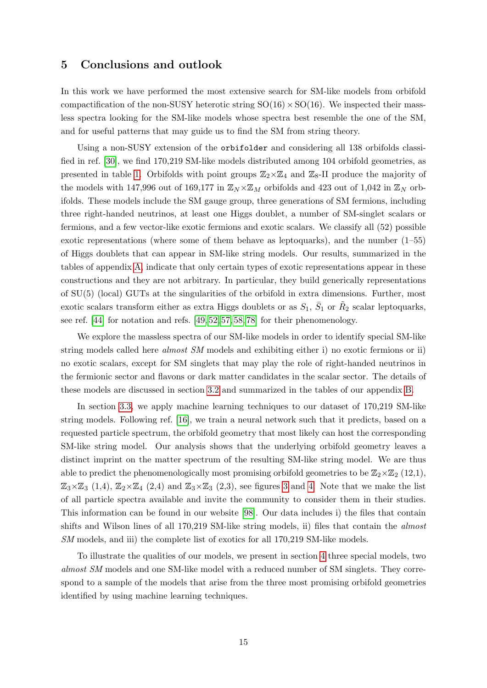## <span id="page-15-0"></span>5 Conclusions and outlook

In this work we have performed the most extensive search for SM-like models from orbifold compactification of the non-SUSY heterotic string  $SO(16) \times SO(16)$ . We inspected their massless spectra looking for the SM-like models whose spectra best resemble the one of the SM, and for useful patterns that may guide us to find the SM from string theory.

Using a non-SUSY extension of the orbifolder and considering all 138 orbifolds classified in ref. [\[30\]](#page-25-3), we find 170,219 SM-like models distributed among 104 orbifold geometries, as presented in table [1.](#page-4-0) Orbifolds with point groups  $\mathbb{Z}_2\times\mathbb{Z}_4$  and  $\mathbb{Z}_8$ -II produce the majority of the models with 147,996 out of 169,177 in  $\mathbb{Z}_N \times \mathbb{Z}_M$  orbifolds and 423 out of 1,042 in  $\mathbb{Z}_N$  orbifolds. These models include the SM gauge group, three generations of SM fermions, including three right-handed neutrinos, at least one Higgs doublet, a number of SM-singlet scalars or fermions, and a few vector-like exotic fermions and exotic scalars. We classify all (52) possible exotic representations (where some of them behave as leptoquarks), and the number (1–55) of Higgs doublets that can appear in SM-like string models. Our results, summarized in the tables of appendix [A,](#page-17-1) indicate that only certain types of exotic representations appear in these constructions and they are not arbitrary. In particular, they build generically representations of SU(5) (local) GUTs at the singularities of the orbifold in extra dimensions. Further, most exotic scalars transform either as extra Higgs doublets or as  $S_1, \, \bar{S}_1$  or  $\tilde{R}_2$  scalar leptoquarks, see ref. [\[44\]](#page-26-13) for notation and refs. [\[49,](#page-26-11) [52,](#page-26-12) [57,](#page-27-1) [58,](#page-27-2) [78\]](#page-28-5) for their phenomenology.

We explore the massless spectra of our SM-like models in order to identify special SM-like string models called here almost SM models and exhibiting either i) no exotic fermions or ii) no exotic scalars, except for SM singlets that may play the role of right-handed neutrinos in the fermionic sector and flavons or dark matter candidates in the scalar sector. The details of these models are discussed in section [3.2](#page-7-0) and summarized in the tables of our appendix [B.](#page-22-2)

In section [3.3,](#page-8-0) we apply machine learning techniques to our dataset of 170,219 SM-like string models. Following ref. [\[16\]](#page-24-3), we train a neural network such that it predicts, based on a requested particle spectrum, the orbifold geometry that most likely can host the corresponding SM-like string model. Our analysis shows that the underlying orbifold geometry leaves a distinct imprint on the matter spectrum of the resulting SM-like string model. We are thus able to predict the phenomenologically most promising orbifold geometries to be  $\mathbb{Z}_2\times\mathbb{Z}_2$  (12,1),  $\mathbb{Z}_3\times\mathbb{Z}_3$  (1,4),  $\mathbb{Z}_2\times\mathbb{Z}_4$  (2,4) and  $\mathbb{Z}_3\times\mathbb{Z}_3$  (2,3), see figures [3](#page-11-0) and [4.](#page-12-0) Note that we make the list of all particle spectra available and invite the community to consider them in their studies. This information can be found in our website [\[98\]](#page-29-3). Our data includes i) the files that contain shifts and Wilson lines of all 170,219 SM-like string models, ii) files that contain the *almost* SM models, and iii) the complete list of exotics for all 170,219 SM-like models.

To illustrate the qualities of our models, we present in section [4](#page-13-0) three special models, two almost SM models and one SM-like model with a reduced number of SM singlets. They correspond to a sample of the models that arise from the three most promising orbifold geometries identified by using machine learning techniques.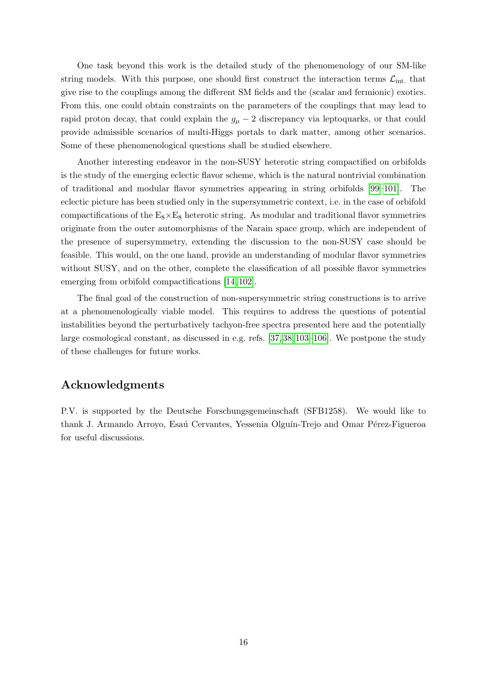One task beyond this work is the detailed study of the phenomenology of our SM-like string models. With this purpose, one should first construct the interaction terms  $\mathcal{L}_{int}$ , that give rise to the couplings among the different SM fields and the (scalar and fermionic) exotics. From this, one could obtain constraints on the parameters of the couplings that may lead to rapid proton decay, that could explain the  $g_{\mu} - 2$  discrepancy via leptoquarks, or that could provide admissible scenarios of multi-Higgs portals to dark matter, among other scenarios. Some of these phenomenological questions shall be studied elsewhere.

Another interesting endeavor in the non-SUSY heterotic string compactified on orbifolds is the study of the emerging eclectic flavor scheme, which is the natural nontrivial combination of traditional and modular flavor symmetries appearing in string orbifolds [\[99–](#page-29-4)[101\]](#page-29-5). The eclectic picture has been studied only in the supersymmetric context, i.e. in the case of orbifold compactifications of the  $E_8\times E_8$  heterotic string. As modular and traditional flavor symmetries originate from the outer automorphisms of the Narain space group, which are independent of the presence of supersymmetry, extending the discussion to the non-SUSY case should be feasible. This would, on the one hand, provide an understanding of modular flavor symmetries without SUSY, and on the other, complete the classification of all possible flavor symmetries emerging from orbifold compactifications [\[14,](#page-24-6) [102\]](#page-29-6).

The final goal of the construction of non-supersymmetric string constructions is to arrive at a phenomenologically viable model. This requires to address the questions of potential instabilities beyond the perturbatively tachyon-free spectra presented here and the potentially large cosmological constant, as discussed in e.g. refs. [\[37,](#page-26-1) [38,](#page-26-2) [103–](#page-29-7)[106\]](#page-29-8). We postpone the study of these challenges for future works.

# Acknowledgments

P.V. is supported by the Deutsche Forschungsgemeinschaft (SFB1258). We would like to thank J. Armando Arroyo, Esaú Cervantes, Yessenia Olguín-Trejo and Omar Pérez-Figueroa for useful discussions.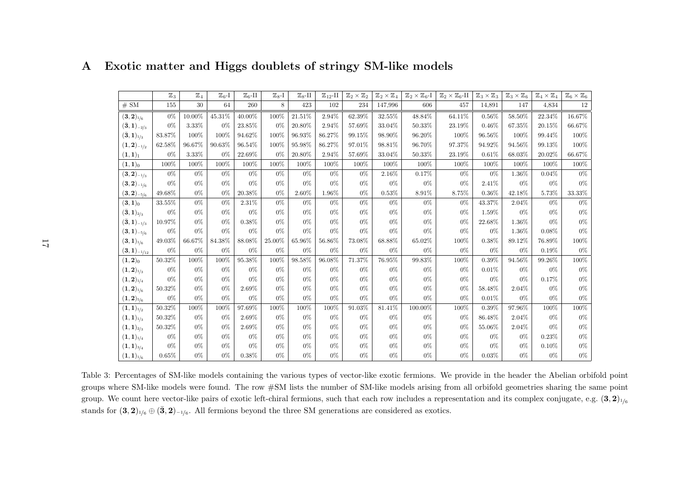|                                         | $\mathbb{Z}_3$ | $\mathbb{Z}_4$ | $\mathbb{Z}_{6}$ -I | $\mathbb{Z}_6$ -II | $\mathbb{Z}_{8}$ -I | $\mathbb{Z}_8$ -II | $\mathbb{Z}_{12}$ -II | $\mathbb{Z}_2\times\mathbb{Z}_2$ | $\mathbb{Z}_2\times\mathbb{Z}_4$ | $\mathbb{Z}_2\times \mathbb{Z}_6$ -I | $\mathbb{Z}_2\times \mathbb{Z}_6\text{-}\mathrm{II}$ | $\mathbb{Z}_3\times\mathbb{Z}_3$ | $\mathbb{Z}_3\times\mathbb{Z}_6$ | $\mathbb{Z}_4\times\mathbb{Z}_4$ | $\mathbb{Z}_6\times\mathbb{Z}_6$ |
|-----------------------------------------|----------------|----------------|---------------------|--------------------|---------------------|--------------------|-----------------------|----------------------------------|----------------------------------|--------------------------------------|------------------------------------------------------|----------------------------------|----------------------------------|----------------------------------|----------------------------------|
| # SM                                    | 155            | 30             | 64                  | 260                | 8                   | 423                | 102                   | 234                              | 147,996                          | 606                                  | 457                                                  | 14,891                           | 147                              | 4,834                            | 12                               |
| $({\bf 3}, {\bf 2})_{1/6}$              | $0\%$          | 10.00%         | 45.31%              | 40.00%             | 100%                | 21.51%             | 2.94%                 | 62.39%                           | 32.55%                           | 48.84%                               | 64.11%                                               | 0.56%                            | 58.50%                           | 22.34%                           | $16.67\%$                        |
| $(\bar{\bf 3}, {\bf 1})_{-2/3}$         | $0\%$          | 3.33%          | $0\%$               | 23.85%             | $0\%$               | 20.80%             | 2.94%                 | 57.69%                           | 33.04%                           | $50.33\%$                            | 23.19%                                               | $0.46\%$                         | 67.35%                           | 20.15%                           | $66.67\%$                        |
| $(\bar{\bf 3}, {\bf 1})_{1/3}$          | $83.87\%$      | 100%           | 100%                | 94.62%             | 100%                | 96.93%             | 86.27%                | 99.15%                           | 98.90%                           | 96.20%                               | 100%                                                 | 96.56%                           | 100%                             | 99.44%                           | $100\%$                          |
| $(\mathbf{1},\mathbf{2})_{-1/2}$        | 62.58%         | 96.67%         | 90.63%              | 96.54%             | 100%                | 95.98%             | 86.27%                | 97.01%                           | 98.81%                           | 96.70%                               | 97.37%                                               | 94.92%                           | 94.56%                           | 99.13%                           | 100%                             |
| $(1,1)_1$                               | $0\%$          | 3.33%          | $0\%$               | 22.69%             | $0\%$               | 20.80%             | 2.94%                 | 57.69%                           | 33.04%                           | 50.33%                               | 23.19%                                               | 0.61%                            | 68.03%                           | 20.02%                           | 66.67%                           |
| $(1,1)_{0}$                             | 100%           | 100%           | 100%                | 100%               | 100%                | 100%               | 100%                  | 100%                             | 100%                             | 100%                                 | 100%                                                 | 100%                             | 100%                             | 100%                             | 100%                             |
| $({\bf 3}, {\bf 2})_{-1/3}$             | $0\%$          | $0\%$          | $0\%$               | $0\%$              | $0\%$               | $0\%$              | $0\%$                 | $0\%$                            | $2.16\%$                         | 0.17%                                | $0\%$                                                | $0\%$                            | 1.36%                            | 0.04%                            | $0\%$                            |
| $({\bf 3}, {\bf 2})_{-1/6}$             | $0\%$          | $0\%$          | $0\%$               | $0\%$              | $0\%$               | $0\%$              | $0\%$                 | $0\%$                            | $0\%$                            | $0\%$                                | $0\%$                                                | 2.41\%                           | $0\%$                            | $0\%$                            | $0\%$                            |
| $({\bf 3}, {\bf 2})_{-5/6}$             | 49.68%         | $0\%$          | $0\%$               | 20.38%             | $0\%$               | 2.60%              | 1.96%                 | $0\%$                            | 0.53%                            | 8.91%                                | 8.75%                                                | $0.36\%$                         | 42.18%                           | 5.73%                            | $33.33\%$                        |
| $({\bf 3},{\bf 1})_0$                   | 33.55%         | $0\%$          | $0\%$               | 2.31%              | $0\%$               | $0\%$              | $0\%$                 | $0\%$                            | $0\%$                            | $0\%$                                | $0\%$                                                | 43.37%                           | 2.04%                            | $0\%$                            | $0\%$                            |
| $(\bar{\bf 3}, {\bf 1})_{2/3}$          | $0\%$          | $0\%$          | $0\%$               | $0\%$              | $0\%$               | $0\%$              | $0\%$                 | $0\%$                            | $0\%$                            | $0\%$                                | $0\%$                                                | 1.59%                            | $0\%$                            | $0\%$                            | $0\%$                            |
| $(\bar{\bf 3}, {\bf 1})_{-1/3}$         | 10.97%         | $0\%$          | $0\%$               | 0.38%              | $0\%$               | $0\%$              | $0\%$                 | $0\%$                            | $0\%$                            | $0\%$                                | $0\%$                                                | 22.68%                           | 1.36%                            | $0\%$                            | $0\%$                            |
| $({\bf 3}, {\bf 1})_{-5/6}$             | $0\%$          | $0\%$          | $0\%$               | $0\%$              | $0\%$               | $0\%$              | $0\%$                 | $0\%$                            | $0\%$                            | $0\%$                                | $0\%$                                                | $0\%$                            | 1.36%                            | 0.08%                            | $0\%$                            |
| $({\bf 3}, {\bf 1})_{1/6}$              | 49.03%         | 66.67%         | 84.38%              | 88.08%             | 25.00%              | 65.96%             | 56.86%                | 73.08%                           | 68.88%                           | 65.02%                               | 100%                                                 | 0.38%                            | 89.12%                           | $76.89\%$                        | 100%                             |
| $(\mathbf{3},\mathbf{1})_{-1/12}$       | $0\%$          | $0\%$          | $0\%$               | $0\%$              | $0\%$               | $0\%$              | $0\%$                 | $0\%$                            | $0\%$                            | $0\%$                                | $0\%$                                                | $0\%$                            | $0\%$                            | 0.19%                            | $0\%$                            |
| $(1, 2)_0$                              | 50.32%         | 100%           | 100%                | 95.38%             | 100%                | 98.58%             | 96.08%                | 71.37%                           | 76.95%                           | 99.83%                               | 100%                                                 | 0.39%                            | 94.56%                           | 99.26%                           | $100\%$                          |
| $(\mathbf{1},\mathbf{2})_{1/3}$         | $0\%$          | $0\%$          | $0\%$               | $0\%$              | $0\%$               | $0\%$              | $0\%$                 | $0\%$                            | $0\%$                            | $0\%$                                | $0\%$                                                | 0.01%                            | $0\%$                            | $0\%$                            | $0\%$                            |
| $(\mathbf{1},\mathbf{2})_{1/4}$         | $0\%$          | $0\%$          | $0\%$               | $0\%$              | $0\%$               | $0\%$              | $0\%$                 | $0\%$                            | $0\%$                            | $0\%$                                | $0\%$                                                | $0\%$                            | $0\%$                            | 0.17%                            | $0\%$                            |
| $({\bf 1},{\bf 2})_{1/6}$               | 50.32%         | $0\%$          | $0\%$               | 2.69%              | $0\%$               | $0\%$              | $0\%$                 | $0\%$                            | $0\%$                            | $0\%$                                | $0\%$                                                | 58.48%                           | 2.04%                            | $0\%$                            | $0\%$                            |
| $({\bf 1},{\bf 2})_{5/6}$               | $0\%$          | $0\%$          | $0\%$               | $0\%$              | $0\%$               | $0\%$              | $0\%$                 | $0\%$                            | $0\%$                            | $0\%$                                | $0\%$                                                | 0.01%                            | $0\%$                            | $0\%$                            | $0\%$                            |
| $(\mathbf{1},\mathbf{1})_{1/2}$         | 50.32%         | 100%           | 100%                | 97.69%             | 100%                | 100%               | 100%                  | 91.03%                           | 81.41%                           | 100.00%                              | 100%                                                 | 0.39%                            | 97.96%                           | 100%                             | $100\%$                          |
| $({\bf 1},{\bf 1})_{1/3}$               | 50.32%         | $0\%$          | $0\%$               | 2.69%              | $0\%$               | $0\%$              | $0\%$                 | $0\%$                            | $0\%$                            | $0\%$                                | $0\%$                                                | 86.48%                           | 2.04%                            | $0\%$                            | $0\%$                            |
| $(\mathbf{1},\mathbf{1})_{2/3}$         | 50.32%         | $0\%$          | $0\%$               | 2.69%              | $0\%$               | $0\%$              | $0\%$                 | $0\%$                            | $0\%$                            | $0\%$                                | $0\%$                                                | 55.06%                           | 2.04%                            | $0\%$                            | $0\%$                            |
| $(\mathbf{1},\mathbf{1})_{1/4}$         | $0\%$          | $0\%$          | $0\%$               | $0\%$              | $0\%$               | $0\%$              | $0\%$                 | $0\%$                            | $0\%$                            | $0\%$                                | $0\%$                                                | $0\%$                            | $0\%$                            | 0.23%                            | $0\%$                            |
| $(\boldsymbol{1},\boldsymbol{1})_{3/4}$ | $0\%$          | $0\%$          | $0\%$               | $0\%$              | $0\%$               | $0\%$              | $0\%$                 | $0\%$                            | $0\%$                            | $0\%$                                | $0\%$                                                | $0\%$                            | $0\%$                            | 0.10%                            | $0\%$                            |
| $(1,1)_{1/6}$                           | 0.65%          | $0\%$          | $0\%$               | 0.38%              | $0\%$               | $0\%$              | $0\%$                 | $0\%$                            | $0\%$                            | $0\%$                                | $0\%$                                                | 0.03%                            | $0\%$                            | $0\%$                            | $0\%$                            |

# <span id="page-17-0"></span>A Exotic matter and Higgs doublets of stringy SM-like models

<span id="page-17-1"></span>Table 3: Percentages of SM-like models containing the various types of vector-like exotic fermions. We provide in the header the Abelian orbifold pointgroups where SM-like models were found. The row #SM lists the number of SM-like models arising from all orbifold geometries sharing the same pointgroup. We count here vector-like pairs of exotic left-chiral fermions, such that each row includes a representation and its complex conjugate, e.g.  $(3,2)_{1/6}$ stands for  $(3, 2)_{1/6} \oplus (3, 2)_{-1/6}$ . All fermions beyond the three SM generations are considered as exotics.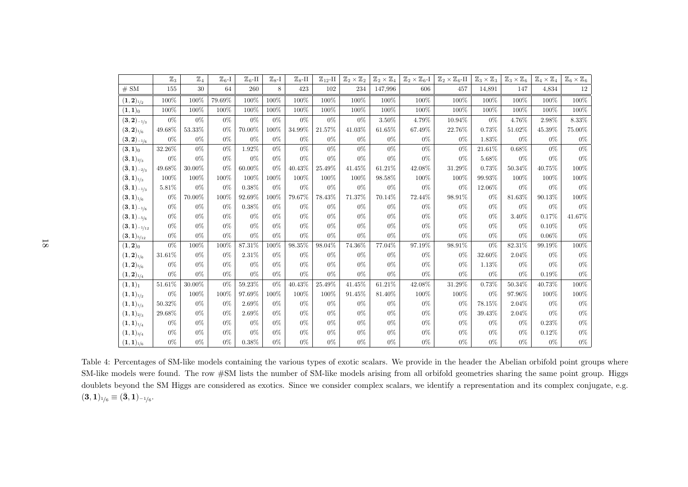<span id="page-18-0"></span>

|                                          | $\mathbb{Z}_3$ | $\mathbb{Z}_4$ | $\mathbb{Z}_6$ -I | $\mathbb{Z}_6$ -II | $\mathbb{Z}_{8}$ -I | $\mathbb{Z}_8$ -II | $\mathbb{Z}_{12}$ -II | $\mathbb{Z}_2\times\mathbb{Z}_2$ | $\mathbb{Z}_2\times\mathbb{Z}_4$ | $\mathbb{Z}_2 \times \mathbb{Z}_6$ -I | $\mathbb{Z}_2\times \mathbb{Z}_6$ -II | $\mathbb{Z}_3\times\mathbb{Z}_3$ | $\mathbb{Z}_3\times\mathbb{Z}_6$ | $\mathbb{Z}_4\times\mathbb{Z}_4$ | $\mathbb{Z}_6\times\mathbb{Z}_6$ |
|------------------------------------------|----------------|----------------|-------------------|--------------------|---------------------|--------------------|-----------------------|----------------------------------|----------------------------------|---------------------------------------|---------------------------------------|----------------------------------|----------------------------------|----------------------------------|----------------------------------|
| $\#\ \mathrm{SM}$                        | 155            | 30             | 64                | 260                | 8                   | 423                | 102                   | 234                              | 147,996                          | 606                                   | 457                                   | 14,891                           | 147                              | 4,834                            | 12                               |
| $(\mathbf{1},\mathbf{2})_{\mathbf{1/2}}$ | 100%           | 100%           | 79.69%            | 100%               | 100%                | 100%               | 100%                  | 100%                             | 100%                             | 100%                                  | 100%                                  | 100%                             | 100%                             | 100%                             | 100%                             |
| $(1,1)_0$                                | 100%           | 100%           | 100%              | 100%               | 100%                | $100\%$            | 100%                  | 100%                             | 100%                             | $100\%$                               | 100%                                  | 100%                             | 100%                             | 100%                             | 100%                             |
| $(3,2)$ <sub>-1/3</sub>                  | $0\%$          | $0\%$          | $0\%$             | $0\%$              | $0\%$               | $0\%$              | $0\%$                 | $0\%$                            | 3.50%                            | 4.79%                                 | 10.94%                                | $0\%$                            | 4.76%                            | 2.98%                            | 8.33%                            |
| $({\bf 3}, {\bf 2})_{1/6}$               | 49.68%         | $53.33\%$      | $0\%$             | 70.00%             | 100%                | 34.99%             | 21.57%                | 41.03%                           | 61.65%                           | 67.49%                                | 22.76%                                | 0.73%                            | 51.02%                           | 45.39%                           | $75.00\%$                        |
| $({\bf 3}, {\bf 2})_{-1/6}$              | $0\%$          | $0\%$          | $0\%$             | $0\%$              | $0\%$               | $0\%$              | $0\%$                 | $0\%$                            | $0\%$                            | $0\%$                                 | $0\%$                                 | 1.83%                            | $0\%$                            | $0\%$                            | $0\%$                            |
| $({\bf 3}, {\bf 1})_0$                   | 32.26%         | $0\%$          | $0\%$             | 1.92%              | $0\%$               | $0\%$              | $0\%$                 | $0\%$                            | $0\%$                            | $0\%$                                 | $0\%$                                 | 21.61%                           | 0.68%                            | $0\%$                            | $0\%$                            |
| $(\bar{\bf 3}, {\bf 1})_{2/3}$           | $0\%$          | $0\%$          | $0\%$             | $0\%$              | $0\%$               | $0\%$              | $0\%$                 | $0\%$                            | $0\%$                            | $0\%$                                 | $0\%$                                 | 5.68%                            | $0\%$                            | $0\%$                            | $0\%$                            |
| $(\bar{\bf 3}, {\bf 1})_{-2/3}$          | 49.68%         | 30.00%         | $0\%$             | 60.00%             | $0\%$               | 40.43%             | 25.49%                | 41.45%                           | 61.21%                           | 42.08%                                | 31.29%                                | 0.73%                            | 50.34%                           | 40.75%                           | 100%                             |
| $(\bar{\bf 3}, {\bf 1})_{1/3}$           | 100%           | 100%           | 100%              | 100%               | 100%                | 100%               | 100%                  | 100%                             | 98.58%                           | 100%                                  | 100%                                  | 99.93%                           | 100%                             | 100%                             | 100%                             |
| $({\bf \bar{3}},{\bf 1})_{-1/3}$         | 5.81%          | $0\%$          | $0\%$             | 0.38%              | $0\%$               | $0\%$              | $0\%$                 | $0\%$                            | $0\%$                            | $0\%$                                 | $0\%$                                 | 12.06%                           | $0\%$                            | $0\%$                            | $0\%$                            |
| $({\bf 3}, {\bf 1})_{1/6}$               | $0\%$          | 70.00%         | 100%              | 92.69%             | 100%                | 79.67%             | 78.43%                | 71.37%                           | $70.14\%$                        | 72.44%                                | 98.91%                                | $0\%$                            | 81.63%                           | 90.13%                           | 100%                             |
| $({\bf 3}, {\bf 1})_{-1/6}$              | $0\%$          | $0\%$          | $0\%$             | 0.38%              | $0\%$               | $0\%$              | $0\%$                 | $0\%$                            | $0\%$                            | $0\%$                                 | $0\%$                                 | $0\%$                            | $0\%$                            | $0\%$                            | $0\%$                            |
| $(3,1)$ <sub>-5/6</sub>                  | $0\%$          | $0\%$          | $0\%$             | $0\%$              | $0\%$               | $0\%$              | $0\%$                 | $0\%$                            | $0\%$                            | $0\%$                                 | $0\%$                                 | $0\%$                            | 3.40%                            | 0.17%                            | 41.67%                           |
| $({\bf 3}, {\bf 1})_{-1/12}$             | $0\%$          | $0\%$          | $0\%$             | $0\%$              | $0\%$               | $0\%$              | $0\%$                 | $0\%$                            | $0\%$                            | $0\%$                                 | $0\%$                                 | $0\%$                            | $0\%$                            | 0.10%                            | $0\%$                            |
| $({\bf 3}, {\bf 1})_{5/12}$              | $0\%$          | $0\%$          | $0\%$             | $0\%$              | $0\%$               | $0\%$              | $0\%$                 | $0\%$                            | $0\%$                            | $0\%$                                 | $0\%$                                 | $0\%$                            | $0\%$                            | $0.06\%$                         | $0\%$                            |
| $(\mathbf{1},\mathbf{2})_0$              | $0\%$          | 100%           | 100%              | $87.31\%$          | 100%                | 98.35%             | 98.04%                | 74.36%                           | 77.04%                           | 97.19%                                | 98.91%                                | $0\%$                            | 82.31%                           | 99.19%                           | 100%                             |
| $({\bf 1},{\bf 2})_{1/6}$                | 31.61%         | $0\%$          | $0\%$             | $2.31\%$           | $0\%$               | $0\%$              | $0\%$                 | $0\%$                            | $0\%$                            | $0\%$                                 | $0\%$                                 | 32.60%                           | 2.04%                            | $0\%$                            | $0\%$                            |
| $({\bf 1},{\bf 2})_{5/6}$                | $0\%$          | $0\%$          | $0\%$             | $0\%$              | $0\%$               | $0\%$              | $0\%$                 | $0\%$                            | $0\%$                            | $0\%$                                 | $0\%$                                 | 1.13%                            | $0\%$                            | $0\%$                            | $0\%$                            |
| $(\mathbf{1},\mathbf{2})_{1\!/\!4}$      | $0\%$          | $0\%$          | $0\%$             | $0\%$              | $0\%$               | $0\%$              | $0\%$                 | $0\%$                            | $0\%$                            | $0\%$                                 | $0\%$                                 | $0\%$                            | $0\%$                            | 0.19%                            | $0\%$                            |
| $(1, 1)_{1}$                             | 51.61%         | 30.00%         | $0\%$             | 59.23%             | $0\%$               | 40.43%             | 25.49%                | 41.45%                           | 61.21%                           | 42.08%                                | 31.29%                                | 0.73%                            | 50.34%                           | 40.73%                           | 100%                             |
| $({\bf 1},{\bf 1})_{1/2}$                | $0\%$          | 100%           | 100%              | 97.69%             | 100%                | 100%               | 100%                  | 91.45%                           | 81.40%                           | 100%                                  | 100%                                  | $0\%$                            | 97.96%                           | 100%                             | 100%                             |
| $(1,1)_{1/3}$                            | 50.32%         | $0\%$          | $0\%$             | 2.69%              | $0\%$               | $0\%$              | $0\%$                 | $0\%$                            | $0\%$                            | $0\%$                                 | $0\%$                                 | 78.15%                           | 2.04%                            | $0\%$                            | $0\%$                            |
| $(\mathbf{1},\mathbf{1})_{2/3}$          | 29.68%         | $0\%$          | $0\%$             | 2.69%              | $0\%$               | $0\%$              | $0\%$                 | $0\%$                            | $0\%$                            | $0\%$                                 | $0\%$                                 | 39.43%                           | 2.04%                            | $0\%$                            | $0\%$                            |
| $({\bf 1},{\bf 1})_{1/4}$                | $0\%$          | $0\%$          | $0\%$             | $0\%$              | $0\%$               | $0\%$              | $0\%$                 | $0\%$                            | $0\%$                            | $0\%$                                 | $0\%$                                 | $0\%$                            | $0\%$                            | 0.23%                            | $0\%$                            |
| $({\bf 1},{\bf 1})_{3/4}$                | $0\%$          | $0\%$          | $0\%$             | $0\%$              | $0\%$               | $0\%$              | $0\%$                 | $0\%$                            | $0\%$                            | $0\%$                                 | $0\%$                                 | $0\%$                            | $0\%$                            | 0.12%                            | $0\%$                            |
| $(\mathbf{1},\mathbf{1})_{\frac{1}{6}}$  | $0\%$          | $0\%$          | $0\%$             | 0.38%              | $0\%$               | $0\%$              | $0\%$                 | $0\%$                            | $0\%$                            | $0\%$                                 | $0\%$                                 | $0\%$                            | $0\%$                            | $0\%$                            | $0\%$                            |

Table 4: Percentages of SM-like models containing the various types of exotic scalars. We provide in the header the Abelian orbifold point groups where SM-like models were found. The row #SM lists the number of SM-like models arising from all orbifold geometries sharing the same point group. Higgsdoublets beyond the SM Higgs are considered as exotics. Since we consider complex scalars, we identify <sup>a</sup> representation and its complex conjugate, e.g. $({\bf 3}, {\bf 1})_{\scriptscriptstyle 1\!/\!6} \equiv ({\bf \bar 3}, {\bf 1})_{\scriptscriptstyle -1\!/\!6}.$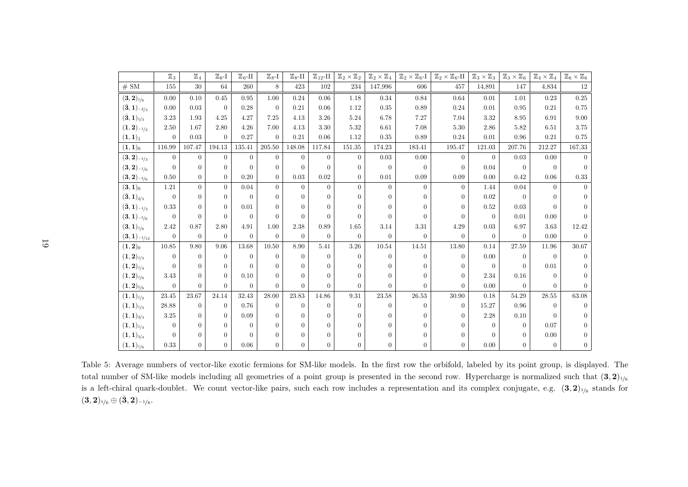<span id="page-19-0"></span>

|                                         | $\mathbb{Z}_3$ | $\mathbb{Z}_4$ | $\mathbb{Z}_6$ -I | $\mathbb{Z}_6$ -II | $\mathbb{Z}_8$ -I | $\mathbb{Z}_8$ -II | $\mathbbm{Z}_{12}\text{-}\mathrm{II}$ | $\mathbb{Z}_2\times\mathbb{Z}_2$ | $\mathbb{Z}_2\times\mathbb{Z}_4$ | $\mathbb{Z}_2\times \mathbb{Z}_6$ -I | $\mathbb{Z}_2\times \mathbb{Z}_6$ -II | $\mathbb{Z}_3\times\mathbb{Z}_3$ | $\mathbb{Z}_3\times\mathbb{Z}_6$ | $\mathbb{Z}_4\times\mathbb{Z}_4$ | $\mathbb{Z}_6\times\mathbb{Z}_6$ |
|-----------------------------------------|----------------|----------------|-------------------|--------------------|-------------------|--------------------|---------------------------------------|----------------------------------|----------------------------------|--------------------------------------|---------------------------------------|----------------------------------|----------------------------------|----------------------------------|----------------------------------|
| # SM                                    | 155            | 30             | 64                | 260                | 8                 | 423                | 102                                   | 234                              | 147,996                          | 606                                  | 457                                   | 14,891                           | 147                              | 4,834                            | 12                               |
| $({\bf 3}, {\bf 2})_{1/6}$              | 0.00           | 0.10           | 0.45              | 0.95               | 1.00              | 0.24               | 0.06                                  | 1.18                             | 0.34                             | 0.84                                 | 0.64                                  | 0.01                             | 1.01                             | 0.23                             | 0.25                             |
| $(\bar{\bf 3}, {\bf 1})_{-2/3}$         | 0.00           | 0.03           | $\theta$          | 0.28               | $\Omega$          | 0.21               | 0.06                                  | 1.12                             | 0.35                             | $0.89\,$                             | 0.24                                  | 0.01                             | 0.95                             | 0.21                             | 0.75                             |
| $(\bar{\bf 3}, {\bf 1})_{1/3}$          | 3.23           | 1.93           | 4.25              | 4.27               | 7.25              | 4.13               | 3.26                                  | 5.24                             | 6.78                             | 7.27                                 | 7.04                                  | 3.32                             | 8.95                             | 6.91                             | 9.00                             |
| $(\mathbf{1},\mathbf{2})_{-1/2}$        | 2.50           | 1.67           | 2.80              | 4.26               | 7.00              | 4.13               | 3.30                                  | 5.32                             | 6.61                             | 7.08                                 | 5.30                                  | 2.86                             | 5.82                             | 6.51                             | 3.75                             |
| $(1, 1)_{1}$                            | $\overline{0}$ | 0.03           | $\overline{0}$    | 0.27               | $\theta$          | 0.21               | 0.06                                  | 1.12                             | 0.35                             | 0.89                                 | 0.24                                  | 0.01                             | 0.96                             | 0.21                             | 0.75                             |
| $(1,1)_0$                               | 116.99         | 107.47         | 194.13            | 135.41             | 205.50            | 148.08             | 117.84                                | 151.35                           | 174.23                           | 183.41                               | 195.47                                | 121.03                           | 207.76                           | 212.27                           | 167.33                           |
| $({\bf 3}, {\bf 2})_{-1/3}$             | $\Omega$       | $\Omega$       | $\Omega$          | $\Omega$           | $\Omega$          | $\Omega$           | $\Omega$                              | $\overline{0}$                   | 0.03                             | 0.00                                 | $\Omega$                              | $\Omega$                         | 0.03                             | 0.00                             |                                  |
| $({\bf 3}, {\bf 2})_{-1/6}$             | $\overline{0}$ | $\Omega$       | $\theta$          | $\Omega$           | $\theta$          | $\Omega$           | $\Omega$                              | $\theta$                         | $\overline{0}$                   | $\overline{0}$                       | $\theta$                              | 0.04                             | $\Omega$                         | $\Omega$                         | $\Omega$                         |
| $({\bf 3}, {\bf 2})_{-5/6}$             | 0.50           | $\overline{0}$ | $\theta$          | 0.20               | $\overline{0}$    | 0.03               | 0.02                                  | $\overline{0}$                   | 0.01                             | 0.09                                 | 0.09                                  | 0.00                             | 0.42                             | 0.06                             | 0.33                             |
| $({\bf 3},{\bf 1})_0$                   | 1.21           | $\overline{0}$ | $\theta$          | 0.04               | $\overline{0}$    | $\theta$           | $\theta$                              | $\overline{0}$                   | $\overline{0}$                   | $\theta$                             | $\theta$                              | 1.44                             | 0.04                             | $\Omega$                         |                                  |
| $(\bar{\bf 3}, {\bf 1})_{2/3}$          | $\overline{0}$ | $\Omega$       | $\Omega$          | $\Omega$           | $\Omega$          | $\Omega$           | $\Omega$                              | $\overline{0}$                   | $\Omega$                         | $\Omega$                             | $\Omega$                              | 0.02                             | $\Omega$                         | $\Omega$                         |                                  |
| $(\bar{\bf 3}, {\bf 1})_{-1/3}$         | 0.33           | $\Omega$       | $\Omega$          | 0.01               | $\Omega$          | $\Omega$           | $\Omega$                              | $\overline{0}$                   | $\Omega$                         | $\Omega$                             | $\Omega$                              | 0.52                             | 0.03                             | 0                                |                                  |
| $({\bf 3}, {\bf 1})_{-5/6}$             | $\overline{0}$ | $\Omega$       | $\Omega$          | $\Omega$           | $\Omega$          | $\Omega$           | $\Omega$                              | $\Omega$                         | $\Omega$                         | $\Omega$                             | $\Omega$                              | $\Omega$                         | 0.01                             | 0.00                             |                                  |
| $({\bf 3}, {\bf 1})_{1/6}$              | 2.42           | 0.87           | 2.80              | 4.91               | 1.00              | 2.38               | 0.89                                  | 1.65                             | 3.14                             | $3.31\,$                             | 4.29                                  | 0.03                             | 6.97                             | 3.63                             | 12.42                            |
| $(\mathbf{3},\mathbf{1})_{-1/12}$       | $\overline{0}$ | $\theta$       | $\Omega$          | $\theta$           | $\theta$          | $\theta$           | $\theta$                              | $\theta$                         | $\overline{0}$                   | $\Omega$                             | $\Omega$                              | $\theta$                         | $\theta$                         | 0.00                             | $\Omega$                         |
| $(\mathbf{1},\mathbf{2})_0$             | 10.85          | 9.80           | 9.06              | 13.68              | 10.50             | 8.90               | 5.41                                  | 3.26                             | 10.54                            | 14.51                                | 13.80                                 | 0.14                             | 27.59                            | 11.96                            | $30.67\,$                        |
| $(\mathbf{1},\mathbf{2})_{1/3}$         | $\theta$       | $\theta$       | $\Omega$          | $\theta$           | $\theta$          | $\Omega$           | $\theta$                              | $\theta$                         | $\Omega$                         | $\Omega$                             | $\Omega$                              | 0.00                             | $\Omega$                         | $\Omega$                         | $\Omega$                         |
| $(\mathbf{1},\mathbf{2})_{1/4}$         | $\overline{0}$ | $\Omega$       | $\Omega$          | $\Omega$           | $\Omega$          | $\Omega$           | $\Omega$                              | $\theta$                         | $\Omega$                         | 0                                    | $\Omega$                              | $\Omega$                         | $\Omega$                         | 0.01                             |                                  |
| $({\bf 1},{\bf 2})_{1/6}$               | 3.43           | $\Omega$       | $\theta$          | 0.10               | $\Omega$          | $\Omega$           | $\Omega$                              | $\Omega$                         | $\Omega$                         | $\Omega$                             | $\Omega$                              | 2.34                             | 0.16                             | $\Omega$                         |                                  |
| $({\bf 1},{\bf 2})_{5/6}$               | $\Omega$       | $\Omega$       | $\overline{0}$    | $\theta$           | $\Omega$          | $\Omega$           | $\Omega$                              | $\overline{0}$                   | $\Omega$                         | $\Omega$                             | $\Omega$                              | 0.00                             | $\Omega$                         | $\Omega$                         |                                  |
| $(\mathbf{1},\mathbf{1})_{1/2}$         | 23.45          | 23.67          | 24.14             | 32.43              | 28.00             | 23.83              | 14.86                                 | 9.31                             | 23.58                            | $26.53\,$                            | 30.90                                 | 0.18                             | 54.29                            | $28.55\,$                        | 63.08                            |
| $({\bf 1},{\bf 1})_{1/3}$               | 28.88          | $\theta$       | $\theta$          | 0.76               | $\theta$          | $\Omega$           | $\Omega$                              | $\theta$                         | $\Omega$                         | $\Omega$                             | $\Omega$                              | 15.27                            | 0.96                             | $\Omega$                         | $\Omega$                         |
| $(\mathbf{1},\mathbf{1})_{2/3}$         | 3.25           | $\Omega$       | $\Omega$          | 0.09               | $\Omega$          | $\Omega$           | $\Omega$                              | $\theta$                         | 0                                | $\Omega$                             | $\Omega$                              | 2.28                             | 0.10                             | $\Omega$                         |                                  |
| $(\mathbf{1},\mathbf{1})_{\frac{1}{4}}$ | $\Omega$       | $\Omega$       | $\Omega$          | $\Omega$           | $\Omega$          | $\Omega$           | $\Omega$                              | $\overline{0}$                   | $\Omega$                         | 0                                    |                                       | $\Omega$                         | $\Omega$                         | 0.07                             |                                  |
| $({\bf 1},{\bf 1})_{3/4}$               | $\Omega$       | $\Omega$       | $\Omega$          | $\Omega$           | $\Omega$          | $\Omega$           | $\Omega$                              | $\overline{0}$                   | 0                                | 0                                    | 0                                     | $\Omega$                         | $\theta$                         | 0.00                             |                                  |
| $(\mathbf{1},\mathbf{1})_{1/6}$         | 0.33           | $\Omega$       | $\Omega$          | 0.06               | $\theta$          | $\Omega$           | $\Omega$                              | $\overline{0}$                   | $\overline{0}$                   | $\Omega$                             | $\theta$                              | 0.00                             | $\theta$                         | $\Omega$                         | $\overline{0}$                   |

Table 5: Average numbers of vector-like exotic fermions for SM-like models. In the first row the orbifold, labeled by its point group, is displayed. Thetotal number of SM-like models including all geometries of a point group is presented in the second row. Hypercharge is normalized such that  $(3,2)_{1/6}$ is a left-chiral quark-doublet. We count vector-like pairs, such each row includes a representation and its complex conjugate, e.g.  $(3, 2)_{1/6}$  stands for  $({\bf 3}, {\bf 2})_{\scriptscriptstyle 1\!/\!6} \oplus ({\bf \bar 3}, {\bf 2})_{\scriptscriptstyle -1\!/\!6}.$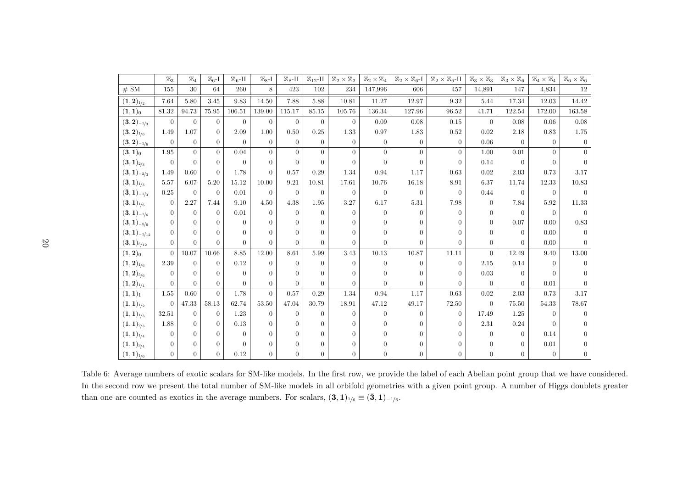<span id="page-20-0"></span>

|                                         | $\mathbb{Z}_3$ | $\mathbb{Z}_4$ | $\mathbb{Z}_6$ -I | $\mathbb{Z}_6$ -II | $\mathbb{Z}_{8}$ -I | $\mathbb{Z}_8$ -II | $\mathbbm{Z}_{12}\text{-}\Pi$ | $\mathbb{Z}_2\times\mathbb{Z}_2$ | $\mathbb{Z}_2\times\mathbb{Z}_4$ | $\mathbb{Z}_2\times \mathbb{Z}_6$ -I | $\mathbb{Z}_2\times \mathbb{Z}_6\text{-II}$ | $\mathbb{Z}_3\times\mathbb{Z}_3$ | $\mathbb{Z}_3\times\mathbb{Z}_6$ | $\mathbb{Z}_4\times\mathbb{Z}_4$ | $\mathbb{Z}_6\times\mathbb{Z}_6$ |
|-----------------------------------------|----------------|----------------|-------------------|--------------------|---------------------|--------------------|-------------------------------|----------------------------------|----------------------------------|--------------------------------------|---------------------------------------------|----------------------------------|----------------------------------|----------------------------------|----------------------------------|
| # SM                                    | $155\,$        | 30             | 64                | 260                | 8                   | 423                | 102                           | 234                              | 147,996                          | 606                                  | 457                                         | 14,891                           | 147                              | 4,834                            | 12                               |
| $(\mathbf{1},\mathbf{2})_{1/2}$         | 7.64           | 5.80           | 3.45              | 9.83               | 14.50               | 7.88               | 5.88                          | 10.81                            | 11.27                            | 12.97                                | 9.32                                        | 5.44                             | 17.34                            | 12.03                            | 14.42                            |
| $(1,1)_0$                               | 81.32          | 94.73          | 75.95             | 106.51             | 139.00              | 115.17             | 85.15                         | 105.76                           | 136.34                           | 127.96                               | 96.52                                       | 41.71                            | 122.54                           | 172.00                           | 163.58                           |
| $({\bf 3}, {\bf 2})_{-1/3}$             | $\overline{0}$ | $\overline{0}$ | $\overline{0}$    | $\overline{0}$     | $\overline{0}$      | $\overline{0}$     | $\overline{0}$                | $\overline{0}$                   | 0.09                             | 0.08                                 | 0.15                                        | $\Omega$                         | 0.08                             | 0.06                             | 0.08                             |
| $({\bf 3}, {\bf 2})_{1/6}$              | 1.49           | 1.07           | $\Omega$          | 2.09               | 1.00                | 0.50               | 0.25                          | 1.33                             | 0.97                             | 1.83                                 | 0.52                                        | 0.02                             | 2.18                             | 0.83                             | 1.75                             |
| $({\bf 3}, {\bf 2})_{-1/6}$             | $\theta$       | $\overline{0}$ | $\overline{0}$    | $\Omega$           | $\overline{0}$      | $\overline{0}$     | $\overline{0}$                | $\overline{0}$                   | $\overline{0}$                   | $\overline{0}$                       | $\theta$                                    | 0.06                             | $\theta$                         | $\Omega$                         | $\Omega$                         |
| $({\bf 3}, {\bf 1})_0$                  | 1.95           | $\Omega$       | $\overline{0}$    | 0.04               | $\overline{0}$      | $\overline{0}$     | $\overline{0}$                | $\Omega$                         | $\Omega$                         | $\Omega$                             | $\Omega$                                    | 1.00                             | 0.01                             | $\Omega$                         |                                  |
| $(\bar{\bf 3}, {\bf 1})_{2/3}$          | $\theta$       | $\Omega$       | $\Omega$          | $\Omega$           | $\Omega$            | $\theta$           | $\Omega$                      | $\Omega$                         | $\Omega$                         | $\Omega$                             | $\Omega$                                    | 0.14                             | $\Omega$                         | $\Omega$                         |                                  |
| $(\bar{\bf 3},{\bf 1})_{-2/3}$          | 1.49           | 0.60           | $\Omega$          | 1.78               | $\Omega$            | 0.57               | 0.29                          | 1.34                             | 0.94                             | 1.17                                 | 0.63                                        | 0.02                             | 2.03                             | 0.73                             | 3.17                             |
| $(\bar{\bf 3}, {\bf 1})_{1/3}$          | 5.57           | 6.07           | 5.20              | 15.12              | 10.00               | 9.21               | 10.81                         | 17.61                            | 10.76                            | 16.18                                | 8.91                                        | $6.37\,$                         | 11.74                            | 12.33                            | 10.83                            |
| $(\bar{\bf 3}, {\bf 1})_{-1/3}$         | 0.25           | $\theta$       | $\theta$          | 0.01               | $\theta$            | $\theta$           | $\theta$                      | $\theta$                         | $\theta$                         | $\overline{0}$                       | $\Omega$                                    | 0.44                             | $\Omega$                         | $\Omega$                         |                                  |
| $({\bf 3}, {\bf 1})_{1/6}$              | $\theta$       | 2.27           | 7.44              | 9.10               | 4.50                | 4.38               | 1.95                          | 3.27                             | 6.17                             | 5.31                                 | 7.98                                        | $\Omega$                         | 7.84                             | 5.92                             | 11.33                            |
| $({\bf 3}, {\bf 1})_{-1/6}$             | $\Omega$       | $\Omega$       | $\Omega$          | 0.01               | $\theta$            | $\theta$           | $\overline{0}$                | $\Omega$                         | $\Omega$                         | $\Omega$                             | $\Omega$                                    | $\Omega$                         | $\theta$                         | $\Omega$                         | $\Omega$                         |
| $(3,1)$ -5/6                            | $\Omega$       | $\Omega$       | $\Omega$          | $\Omega$           | $\Omega$            | $\overline{0}$     | $\overline{0}$                | $\Omega$                         |                                  | 0                                    |                                             | $\Omega$                         | 0.07                             | 0.00                             | 0.83                             |
| $({\bf 3}, {\bf 1})_{-1/12}$            | $\Omega$       | $\Omega$       | $\Omega$          | $\Omega$           | $\Omega$            | $\theta$           | $\overline{0}$                | $\Omega$                         | $\Omega$                         | $\Omega$                             | $\Omega$                                    | $\Omega$                         | $\Omega$                         | 0.00                             |                                  |
| $({\bf 3}, {\bf 1})_{5/12}$             | $\Omega$       | $\Omega$       | $\Omega$          | $\Omega$           | $\Omega$            | $\theta$           | $\overline{0}$                | $\Omega$                         | $\Omega$                         | $\Omega$                             | $\Omega$                                    | $\Omega$                         | $\Omega$                         | 0.00                             |                                  |
| $({\bf 1},{\bf 2})_0$                   | $\Omega$       | 10.07          | $10.66\,$         | 8.85               | 12.00               | 8.61               | 5.99                          | 3.43                             | $10.13\,$                        | 10.87                                | $11.11\,$                                   | $\Omega$                         | 12.49                            | 9.40                             | $13.00\,$                        |
| $(1, 2)_{\frac{1}{6}}$                  | 2.39           | $\Omega$       | $\Omega$          | 0.12               | $\Omega$            | $\theta$           | $\overline{0}$                | $\Omega$                         | $\Omega$                         | $\Omega$                             | $\Omega$                                    | 2.15                             | 0.14                             | $\Omega$                         |                                  |
| $({\bf 1},{\bf 2})_{5/6}$               | $\Omega$       | $\Omega$       | $\Omega$          | $\Omega$           | $\Omega$            | $\Omega$           | $\Omega$                      | $\Omega$                         | $\Omega$                         | $\Omega$                             | $\Omega$                                    | 0.03                             | $\Omega$                         | $\Omega$                         |                                  |
| $(\mathbf{1},\mathbf{2})_{\frac{1}{4}}$ | $\Omega$       | $\Omega$       | $\Omega$          | $\theta$           | $\boldsymbol{0}$    | $\overline{0}$     | $\overline{0}$                | $\Omega$                         | $\Omega$                         | $\Omega$                             | $\Omega$                                    | $\Omega$                         | $\Omega$                         | $0.01\,$                         |                                  |
| $(1,1)_1$                               | $1.55\,$       | 0.60           | $\theta$          | 1.78               | $\Omega$            | 0.57               | 0.29                          | 1.34                             | 0.94                             | 1.17                                 | 0.63                                        | 0.02                             | 2.03                             | 0.73                             | 3.17                             |
| $({\bf 1},{\bf 1})_{1/2}$               | $\Omega$       | 47.33          | 58.13             | 62.74              | 53.50               | 47.04              | 30.79                         | 18.91                            | 47.12                            | 49.17                                | 72.50                                       | $\Omega$                         | 75.50                            | 54.33                            | 78.67                            |
| $(1,1)_{1/3}$                           | 32.51          | $\overline{0}$ | $\Omega$          | 1.23               | $\theta$            | $\theta$           | $\overline{0}$                | $\Omega$                         | $\Omega$                         | $\Omega$                             | $\Omega$                                    | 17.49                            | 1.25                             | $\Omega$                         |                                  |
| $(1,1)_{2/3}$                           | 1.88           | $\Omega$       | $\Omega$          | 0.13               | $\Omega$            | $\overline{0}$     | $\overline{0}$                | $\Omega$                         | $\Omega$                         | $\Omega$                             | $\Omega$                                    | 2.31                             | 0.24                             | $\Omega$                         |                                  |
| $(1,1)_{1/4}$                           | $\Omega$       | $\Omega$       | $\Omega$          | $\Omega$           | $\Omega$            | $\Omega$           | $\Omega$                      | $\Omega$                         | $\Omega$                         | $\Omega$                             |                                             | $\left( \right)$                 | $\Omega$                         | 0.14                             |                                  |
| $(1,1)_{3/4}$                           | $\Omega$       | $\overline{0}$ | $\Omega$          | $\Omega$           | $\Omega$            | $\overline{0}$     | $\overline{0}$                | $\Omega$                         | $\Omega$                         | $\Omega$                             | $\Omega$                                    | $\Omega$                         | $\Omega$                         | 0.01                             |                                  |
| $({\bf 1},{\bf 1})_{1/6}$               | $\Omega$       | $\Omega$       | $\Omega$          | 0.12               | $\overline{0}$      | $\overline{0}$     | $\boldsymbol{0}$              | $\Omega$                         | $\overline{0}$                   | $\Omega$                             |                                             | 0                                | $\Omega$                         | $\Omega$                         |                                  |

Table 6: Average numbers of exotic scalars for SM-like models. In the first row, we provide the label of each Abelian point group that we have considered. In the second row we present the total number of SM-like models in all orbifold geometries with <sup>a</sup> given point group. A number of Higgs doublets greaterthan one are counted as exotics in the average numbers. For scalars,  $(3, 1)_{1/6} \equiv (3, 1)_{-1/6}$ .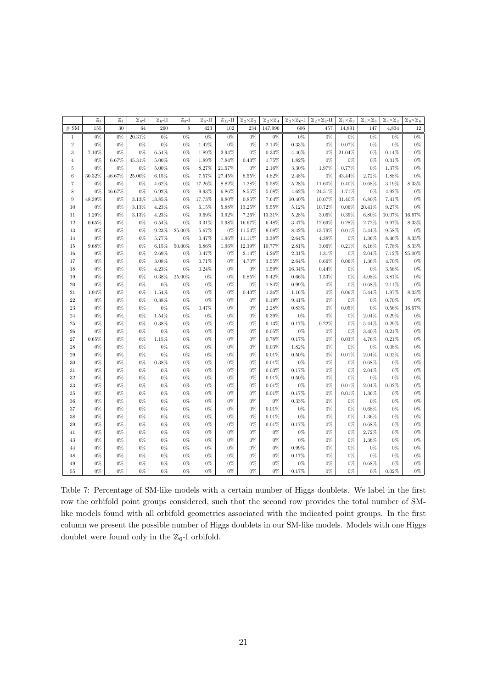|                              | $\mathbb{Z}_3$ | $\mathbb{Z}_4$ | $\mathbb{Z}_6$ -I | $\mathbb{Z}_6$ -II | $\mathbb{Z}_{8}$ -I | $\mathbb{Z}_8$ -II | $\mathbb{Z}_{12}$ -II | $\mathbb{Z}_2{\times}\mathbb{Z}_2$ | $\mathbb{Z}_2\times\mathbb{Z}_4$ | $\mathbb{Z}_2\times\mathbb{Z}_6$ -I | $\mathbb{Z}_2{\times}\mathbb{Z}_6$ -II | $\mathbb{Z}_3\times\mathbb{Z}_3$ | $\mathbb{Z}_3\times\mathbb{Z}_6$ | $\mathbb{Z}_4{\times}\mathbb{Z}_4$ | $\mathbb{Z}_6{\times}\mathbb{Z}_6$ |
|------------------------------|----------------|----------------|-------------------|--------------------|---------------------|--------------------|-----------------------|------------------------------------|----------------------------------|-------------------------------------|----------------------------------------|----------------------------------|----------------------------------|------------------------------------|------------------------------------|
| $\#\ \overline{\mathrm{SM}}$ | 155            | 30             | 64                | 260                | $\,$ 8 $\,$         | 423                | 102                   | 234                                | 147,996                          | 606                                 | 457                                    | 14,891                           | 147                              | 4,834                              | $12\,$                             |
| $\mathbf{1}$                 | $0\%$          | $0\%$          | $20.31\%$         | $0\%$              | $0\%$               | $0\%$              | $0\%$                 | 0%                                 | $0\%$                            | $0\%$                               | $0\%$                                  | $0\%$                            | $0\%$                            | $0\%$                              | $0\%$                              |
| $\,2$                        | $0\%$          | $0\%$          | $0\%$             | 0%                 | $0\%$               | 1.42%              | $0\%$                 | 0%                                 | 2.14%                            | 0.33%                               | $0\%$                                  | $0.07\%$                         | 0%                               | 0%                                 | $0\%$                              |
| $\sqrt{3}$                   | $7.10\%$       | $0\%$          | $0\%$             | 6.54%              | $0\%$               | 1.89%              | 2.94%                 | $0\%$                              | 0.33%                            | 4.46%                               | $0\%$                                  | 21.04%                           | $0\%$                            | 0.14%                              | $0\%$                              |
| $\overline{4}$               | $0\%$          | 6.67%          | 45.31%            | 5.00%              | $0\%$               | 1.89%              | 7.84%                 | 0.43%                              | 1.75%                            | 1.82%                               | $0\%$                                  | 0%                               | 0%                               | 0.31%                              | $0\%$                              |
| $\,$ 5                       | $0\%$          | $0\%$          | $0\%$             | $5.00\%$           | $0\%$               | 8.27%              | 21.57%                | $0\%$                              | 2.16%                            | 3.30%                               | 1.97%                                  | 0.77%                            | $0\%$                            | 1.37%                              | $0\%$                              |
| $\,6$                        | 30.32%         | 46.67%         | 25.00%            | 6.15%              | $0\%$               | 7.57%              | 27.45%                | 8.55%                              | 4.82%                            | 2.48%                               | $0\%$                                  | 43.44%                           | 2.72%                            | 1.88%                              | $0\%$                              |
| $\scriptstyle{7}$            | $0\%$          | $0\%$          | $0\%$             | 4.62%              | $0\%$               | 17.26%             | 8.82%                 | 1.28%                              | 5.58%                            | 5.28%                               | 11.60%                                 | 0.40%                            | 0.68%                            | 3.19%                              | $8.33\%$                           |
| 8                            | 0%             | 46.67%         | 0%                | 6.92%              | $0\%$               | 9.93%              | 6.86%                 | 8.55%                              | 5.08%                            | 4.62%                               | 24.51%                                 | 1.71%                            | $0\%$                            | 4.92%                              | $0\%$                              |
| $\boldsymbol{9}$             | 48.39%         | $0\%$          | $3.13\%$          | 13.85%             | $0\%$               | 17.73%             | 9.80%                 | 0.85%                              | 7.64%                            | 10.40%                              | 10.07%                                 | 31.40%                           | $6.80\%$                         | 7.41%                              | $0\%$                              |
| $10\,$                       | 0%             | 0%             | 3.13%             | 4.23%              | $0\%$               | 6.15%              | 5.88%                 | 13.25%                             | 5.55%                            | 5.12%                               | 10.72%                                 | 0.06%                            | 20.41%                           | 9.27%                              | $0\%$                              |
| $11\,$                       | 1.29%          | $0\%$          | 3.13%             | 4.23%              | $0\%$               | $9.69\%$           | $3.92\%$              | 7.26%                              | 13.31%                           | 5.28%                               | $3.06\%$                               | 0.39%                            | $6.80\%$                         | 10.07%                             | $16.67\%$                          |
| 12                           | 0.65%          | $0\%$          | 0%                | 6.54%              | 0%                  | 3.31%              | 0.98%                 | 16.67%                             | 6.48%                            | 3.47%                               | 12.69%                                 | 0.28%                            | 2.72%                            | 9.97%                              | 8.33%                              |
| $13\,$                       | $0\%$          | $0\%$          | $0\%$             | 9.23%              | 25.00%              | $5.67\%$           | $0\%$                 | 11.54%                             | 9.08%                            | 8.42%                               | 13.79%                                 | 0.01%                            | 5.44%                            | 9.58%                              | $0\%$                              |
| 14                           | 0%             | $0\%$          | 0%                | 5.77%              | 0%                  | 0.47%              | 1.96%                 | 11.11%                             | 3.38%                            | 2.64%                               | 4.38%                                  | 0%                               | 1.36%                            | 8.46%                              | $8.33\%$                           |
| $15\,$                       | $9.68\%$       | $0\%$          | $0\%$             | 6.15%              | 50.00%              | $6.86\%$           | 1.96%                 | 12.39%                             | 10.77%                           | 2.81%                               | 3.06%                                  | $0.21\%$                         | 8.16%                            | 7.78%                              | $8.33\%$                           |
| 16                           | 0%             | $0\%$          | 0%                | 2.69%              | $0\%$               | 0.47%              | $0\%$                 | 2.14%                              | 4.26%                            | 2.31%                               | 1.31%                                  | $0\%$                            | 2.04%                            | 7.12%                              | $25.00\%$                          |
| 17                           | $0\%$          | $0\%$          | $0\%$             | 3.08%              | 0%                  | 0.71%              | 0%                    | 4.70%                              | 3.55%                            | 2.64%                               | 0.66%                                  | $0.06\%$                         | 1.36%                            | 4.70%                              | $0\%$                              |
| 18                           | 0%             | $0\%$          | 0%                | 4.23%              | 0%                  | 0.24%              | 0%                    | 0%                                 | 1.59%                            | 16.34%                              | 0.44%                                  | 0%                               | $0\%$                            | 3.56%                              | $0\%$                              |
| 19                           | $0\%$          | $0\%$          | $0\%$             | 0.38%              | 25.00%              | $0\%$              | $0\%$                 | 0.85%                              | 5.42%                            | 0.66%                               | 1.53%                                  | $0\%$                            | $4.08\%$                         | 3.81%                              | $0\%$                              |
| $20\,$                       | $0\%$          | $0\%$          | $0\%$             | $0\%$              | $0\%$               | $0\%$              | $0\%$                 | 0%                                 | 1.84%                            | 0.99%                               | $0\%$                                  | 0%                               | 0.68%                            | 2.11%                              | $0\%$                              |
| $21\,$                       | 1.94%          | $0\%$          | $0\%$             | 1.54%              | $0\%$               | $0\%$              | 0%                    | 0.43%                              | 1.36%                            | 1.16%                               | $0\%$                                  | $0.06\%$                         | 5.44%                            | 1.97%                              | $8.33\%$                           |
| $22\,$                       | $0\%$          | $0\%$          | $0\%$             | 0.38%              | $0\%$               | $0\%$              | $0\%$                 | 0%                                 | 0.19%                            | 9.41%                               | $0\%$                                  | 0%                               | $0\%$                            | 0.70%                              | $0\%$                              |
| $\rm 23$                     | 0%             | $0\%$          | $0\%$             | 0%                 | $0\%$               | 0.47%              | 0%                    | $0\%$                              | 2.28%                            | 0.83%                               | $0\%$                                  | $0.05\%$                         | $0\%$                            | $0.56\%$                           | 16.67%                             |
| $\,24$                       | $0\%$          | $0\%$          | $0\%$             | 1.54%              | $0\%$               | $0\%$              | $0\%$                 | 0%                                 | 0.39%                            | $0\%$                               | $0\%$                                  | $0\%$                            | $2.04\%$                         | 0.29%                              | $0\%$                              |
| $25\,$                       | $0\%$          | $0\%$          | $0\%$             | 0.38%              | $0\%$               | $0\%$              | 0%                    | 0%                                 | 0.13%                            | $0.17\%$                            | 0.22%                                  | $0\%$                            | 5.44%                            | 0.29%                              | $0\%$                              |
| $\sqrt{26}$                  | $0\%$          | $0\%$          | $0\%$             | $0\%$              | $0\%$               | $0\%$              | $0\%$                 | 0%                                 | 0.05%                            | $0\%$                               | $0\%$                                  | 0%                               | 3.40%                            | 0.21%                              | $0\%$                              |
| $27\,$                       | $0.65\%$       | $0\%$          | $0\%$             | 1.15%              | $0\%$               | $0\%$              | 0%                    | 0%                                 | 0.78%                            | 0.17%                               | $0\%$                                  | $0.03\%$                         | 4.76%                            | 0.21%                              | $0\%$                              |
| $\bf 28$                     | $0\%$          | $0\%$          | $0\%$             | $0\%$              | $0\%$               | $0\%$              | $0\%$                 | $0\%$                              | 0.03%                            | 1.82%                               | $0\%$                                  | $0\%$                            | $0\%$                            | 0.08%                              | $0\%$                              |
| $\,29$                       | 0%             | $0\%$          | $0\%$             | 0%                 | $0\%$               | $0\%$              | 0%                    | 0%                                 | 0.01%                            | 0.50%                               | $0\%$                                  | $0.01\%$                         | 2.04%                            | 0.02%                              | $0\%$                              |
| $30\,$                       | $0\%$          | $0\%$          | $0\%$             | 0.38%              | $0\%$               | $0\%$              | $0\%$                 | $0\%$                              | 0.01%                            | $0\%$                               | $0\%$                                  | 0%                               | 0.68%                            | $0\%$                              | $0\%$                              |
| $31\,$                       | $0\%$          | $0\%$          | $0\%$             | $0\%$              | $0\%$               | $0\%$              | 0%                    | 0%                                 | 0.03%                            | 0.17%                               | $0\%$                                  | 0%                               | 2.04%                            | 0%                                 | $0\%$                              |
| $32\,$                       | $0\%$          | $0\%$          | $0\%$             | $0\%$              | $0\%$               | $0\%$              | $0\%$                 | $0\%$                              | 0.01%                            | $0.50\%$                            | $0\%$                                  | $0\%$                            | $0\%$                            | $0\%$                              | $0\%$                              |
| $33\,$                       | $0\%$          | $0\%$          | $0\%$             | $0\%$              | $0\%$               | $0\%$              | $0\%$                 | 0%                                 | 0.01%                            | $0\%$                               | $0\%$                                  | 0.01%                            | 2.04%                            | 0.02%                              | $0\%$                              |
| $35\,$                       | $0\%$          | $0\%$          | $0\%$             | $0\%$              | $0\%$               | $0\%$              | $0\%$                 | 0%                                 | 0.01%                            | 0.17%                               | $0\%$                                  | 0.01%                            | 1.36%                            | $0\%$                              | $0\%$<br>$0\%$                     |
| $36\,$                       | $0\%$          | $0\%$          | $0\%$             | 0%                 | $0\%$               | $0\%$              | 0%                    | 0%                                 | $0\%$                            | 0.33%                               | $0\%$                                  | 0%                               | $0\%$                            | 0%                                 |                                    |
| 37                           | $0\%$          | $0\%$          | $0\%$             | 0%                 | $0\%$               | 0%                 | $0\%$                 | 0%                                 | 0.01%                            | $0\%$                               | $0\%$                                  | $0\%$                            | 0.68%                            | $0\%$                              | $0\%$                              |
| $38\,$                       | $0\%$          | $0\%$          | $0\%$             | $0\%$              | $0\%$               | $0\%$              | $0\%$                 | 0%                                 | 0.01%                            | $0\%$                               | $0\%$                                  | $0\%$                            | 1.36%                            | $0\%$                              | $0\%$                              |
| $39\,$                       | $0\%$<br>$0\%$ | $0\%$<br>$0\%$ | $0\%$             | $0\%$<br>$0\%$     | $0\%$               | $0\%$              | $0\%$<br>0%           | 0%<br>$0\%$                        | 0.01%                            | $0.17\%$<br>$0\%$                   | $0\%$<br>$0\%$                         | $0\%$<br>$0\%$                   | 0.68%                            | 0%<br>0%                           | $0\%$<br>$0\%$                     |
| 41                           |                |                | $0\%$             |                    | $0\%$               | $0\%$              |                       |                                    | $0\%$                            |                                     |                                        |                                  | 2.72%                            |                                    |                                    |
| $43\,$                       | $0\%$          | $0\%$          | $0\%$             | $0\%$              | $0\%$               | $0\%$              | $0\%$                 | 0%                                 | $0\%$                            | $0\%$                               | $0\%$                                  | $0\%$                            | 1.36%                            | $0\%$<br>0%                        | $0\%$                              |
| $44\,$                       | $0\%$          | $0\%$          | $0\%$             | 0%                 | $0\%$               | $0\%$              | $0\%$                 | $0\%$                              | $0\%$                            | 0.99%                               | $0\%$                                  | 0%                               | $0\%$                            |                                    | $0\%$                              |
| $48\,$                       | $0\%$          | $0\%$          | $0\%$             | $0\%$              | $0\%$               | $0\%$              | $0\%$                 | $0\%$                              | $0\%$                            | 0.17%                               | $0\%$                                  | $0\%$                            | $0\%$                            | $0\%$                              | $0\%$                              |
| $49\,$                       | $0\%$          | $0\%$          | $0\%$             | $0\%$              | $0\%$               | $0\%$              | $0\%$                 | $0\%$                              | $0\%$                            | $0\%$                               | $0\%$                                  | 0%                               | $0.68\%$                         | 0%                                 | $0\%$                              |
| 55                           | $0\%$          | $0\%$          | $0\%$             | $0\%$              | $0\%$               | $0\%$              | 0%                    | $0\%$                              | $0\%$                            | 0.17%                               | $0\%$                                  | $0\%$                            | $0\%$                            | 0.02%                              | $0\%$                              |

<span id="page-21-0"></span>Table 7: Percentage of SM-like models with a certain number of Higgs doublets. We label in the first row the orbifold point groups considered, such that the second row provides the total number of SMlike models found with all orbifold geometries associated with the indicated point groups. In the first column we present the possible number of Higgs doublets in our SM-like models. Models with one Higgs doublet were found only in the  $\mathbb{Z}_6\text{-I}$  orbifold.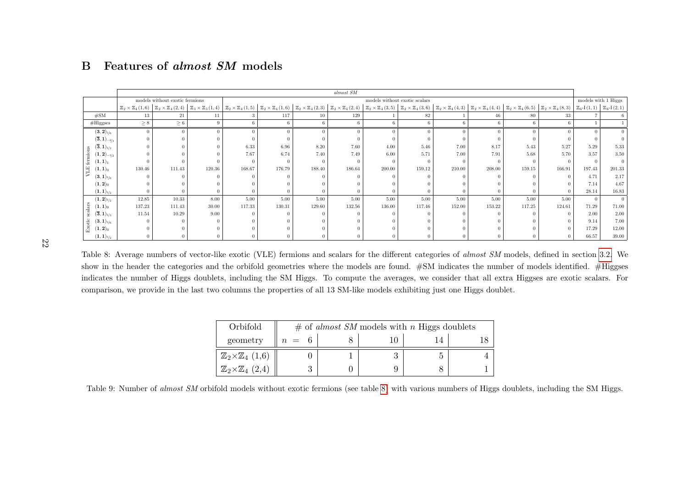|                                                     |          |                                |        |        |          |        | almost SM |        |                               |        |        |                                                                                                                                                                                                                                                                                                                                                                                                        |        |                |                     |
|-----------------------------------------------------|----------|--------------------------------|--------|--------|----------|--------|-----------|--------|-------------------------------|--------|--------|--------------------------------------------------------------------------------------------------------------------------------------------------------------------------------------------------------------------------------------------------------------------------------------------------------------------------------------------------------------------------------------------------------|--------|----------------|---------------------|
|                                                     |          | models without exotic fermions |        |        |          |        |           |        | models without exotic scalars |        |        |                                                                                                                                                                                                                                                                                                                                                                                                        |        |                | models with 1 Higgs |
|                                                     |          |                                |        |        |          |        |           |        |                               |        |        | $\boxed{\mathbb{Z}_2\times\mathbb{Z}_4\,(1,6)} \left[\begin{array}{c c c c c c c c} \mathbb{Z}_2\times\mathbb{Z}_4\,(2,4) & \mathbb{Z}_3\times\mathbb{Z}_3\,(1,4) & \mathbb{Z}_2\times\mathbb{Z}_4\,(1,5) & \mathbb{Z}_2\times\mathbb{Z}_4\,(1,6) & \mathbb{Z}_2\times\mathbb{Z}_4\,(2,3) & \mathbb{Z}_2\times\mathbb{Z}_4\,(3,5) & \mathbb{Z}_2\times\mathbb{Z}_4\,(3,6) & \mathbb{Z}_2\times\mathbb$ |        |                |                     |
| #SM                                                 | 13       | 21                             | 11     |        | 117      | 10     | 129       |        | 82                            |        |        | 80                                                                                                                                                                                                                                                                                                                                                                                                     | 33     |                |                     |
| $#$ Higgses                                         | $\geq 8$ | $\geq 6$                       |        |        | -6       |        |           |        |                               | 6      |        |                                                                                                                                                                                                                                                                                                                                                                                                        |        |                |                     |
| $({\bf 3}, {\bf 2})_{1/6}$                          | $\Omega$ |                                |        |        | $\theta$ |        |           |        |                               |        |        |                                                                                                                                                                                                                                                                                                                                                                                                        |        | $\Omega$       | $\Omega$            |
| $(\overline{\mathbf{3}},\mathbf{1})_{-2/3}$         |          |                                |        |        |          |        |           |        |                               |        |        |                                                                                                                                                                                                                                                                                                                                                                                                        |        |                |                     |
| $(\overline{\mathbf{3}},\mathbf{1})_{1/3}$          |          |                                |        | 6.33   | 6.96     | 8.20   | 7.60      | 4.00   | 5.46                          | 7.00   | 8.17   | 5.43                                                                                                                                                                                                                                                                                                                                                                                                   | 5.27   | 5.29           | 5.33                |
| $({\bf 1},{\bf 2})_{-1/2}$                          |          |                                |        | 7.67   | 6.74     | 7.40   | 7.49      | 6.00   | 5.71                          | 7.00   | 7.91   | 5.68                                                                                                                                                                                                                                                                                                                                                                                                   | 5.70   | 3.57           | 3.50                |
| $({\bf 1},{\bf 1})_1$                               |          |                                |        |        |          |        |           |        |                               |        |        |                                                                                                                                                                                                                                                                                                                                                                                                        |        | $\Omega$       | $\overline{0}$      |
| $(\mathbf{1},\mathbf{1})_0$                         | 130.46   | 111.43                         | 120.36 | 168.67 | 176.79   | 188.40 | 186.64    | 200.00 | 159.12                        | 210.00 | 208.00 | 159.15                                                                                                                                                                                                                                                                                                                                                                                                 | 166.91 | 197.43         | 201.33              |
| $({\bf 3}, {\bf 1})_{1/6}$                          |          |                                |        |        |          |        |           |        |                               |        |        |                                                                                                                                                                                                                                                                                                                                                                                                        |        | 4.71           | 2.17                |
| $({\bf 1},{\bf 2})_0$                               |          |                                |        |        |          |        |           |        |                               |        |        |                                                                                                                                                                                                                                                                                                                                                                                                        |        | 7.14           | 4.67                |
| $({\bf 1},{\bf 1})_{1/2}$                           |          |                                |        |        |          |        |           |        |                               |        |        |                                                                                                                                                                                                                                                                                                                                                                                                        |        | 28.14          | 16.83               |
| $(\mathbf{1},\mathbf{2})_{\scriptscriptstyle{1/2}}$ | 12.85    | 10.33                          | 8.00   | 5.00   | 5.00     | 5.00   | 5.00      | 5.00   | 5.00                          | 5.00   | 5.00   | 5.00                                                                                                                                                                                                                                                                                                                                                                                                   | 5.00   | $\overline{0}$ | $\overline{0}$      |
| $(\mathbf{1},\mathbf{1})_0$                         | 137.23   | 111.43                         | 30.00  | 117.33 | 130.31   | 129.60 | 132.56    | 136.00 | 117.46                        | 152.00 | 153.22 | 117.25                                                                                                                                                                                                                                                                                                                                                                                                 | 124.61 | 71.29          | 71.00               |
| $(\overline{\mathbf{3}},\mathbf{1})_{1/3}$          | 11.54    | 10.29                          | 9.00   |        |          |        |           |        |                               |        |        |                                                                                                                                                                                                                                                                                                                                                                                                        |        | 2.00           | 2.00                |
| $({\bf 3}, {\bf 1})_{1/6}$                          |          |                                |        |        |          |        |           |        |                               |        |        |                                                                                                                                                                                                                                                                                                                                                                                                        |        | 9.14           | 7.00                |
| $(\mathbf{1},\mathbf{2})_0$                         |          |                                |        |        |          |        |           |        |                               |        |        |                                                                                                                                                                                                                                                                                                                                                                                                        |        | 17.29          | 12.00               |
| $({\bf 1},{\bf 1})_{1/2}$                           |          |                                |        |        |          |        |           |        |                               |        |        |                                                                                                                                                                                                                                                                                                                                                                                                        |        | 66.57          | 39.00               |

# <span id="page-22-1"></span><span id="page-22-0"></span>B Features of *almost SM* models

22

Table 8: Average numbers of vector-like exotic (VLE) fermions and scalars for the different categories of *almost SM* models, defined in section [3.2.](#page-7-1) We show in the header the categories and the orbifold geometries where the models are found. #SM indicates the number of models identified. #Higgses indicates the number of Higgs doublets, including the SM Higgs. To compute the averages, we consider that all extra Higgses are exotic scalars. Forcomparison, we provide in the last two columns the properties of all 13 SM-like models exhibiting just one Higgs doublet.

<span id="page-22-3"></span>

| Orbifold                               |         | $\#$ of <i>almost SM</i> models with <i>n</i> Higgs doublets |  |
|----------------------------------------|---------|--------------------------------------------------------------|--|
| geometry                               | $n = 6$ |                                                              |  |
| $\mathbb{Z}_2\times\mathbb{Z}_4$ (1,6) |         |                                                              |  |
| $\mathbb{Z}_2\times\mathbb{Z}_4$ (2,4) |         |                                                              |  |

<span id="page-22-2"></span>Table 9: Number of *almost SM* orbifold models without exotic fermions (see table [8\)](#page-22-3) with various numbers of Higgs doublets, including the SM Higgs.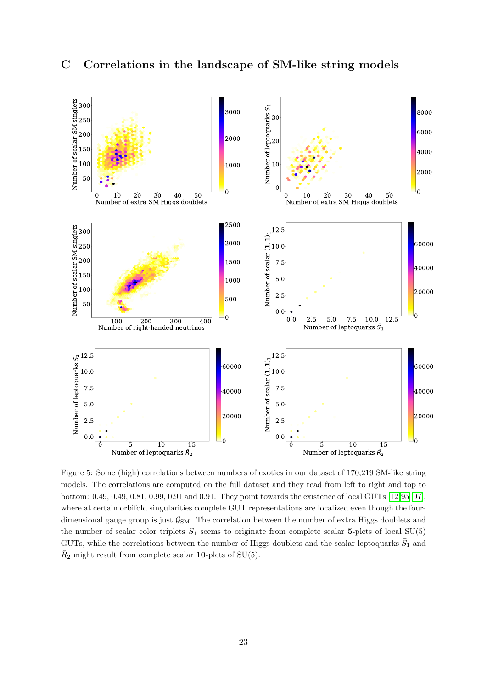<span id="page-23-0"></span>

<span id="page-23-1"></span>Figure 5: Some (high) correlations between numbers of exotics in our dataset of 170,219 SM-like string models. The correlations are computed on the full dataset and they read from left to right and top to bottom: 0.49, 0.49, 0.81, 0.99, 0.91 and 0.91. They point towards the existence of local GUTs [\[12,](#page-24-7)[95](#page-29-1)[–97\]](#page-29-2), where at certain orbifold singularities complete GUT representations are localized even though the fourdimensional gauge group is just  $\mathcal{G}_{SM}$ . The correlation between the number of extra Higgs doublets and the number of scalar color triplets  $S_1$  seems to originate from complete scalar 5-plets of local SU(5) GUTs, while the correlations between the number of Higgs doublets and the scalar leptoquarks  $\bar{S}_1$  and  $\tilde{R}_2$  might result from complete scalar **10**-plets of SU(5).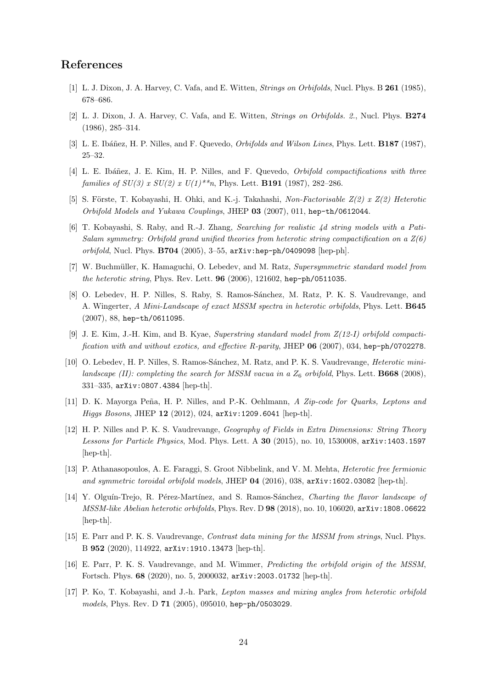## References

- <span id="page-24-0"></span>[1] L. J. Dixon, J. A. Harvey, C. Vafa, and E. Witten, *Strings on Orbifolds*, Nucl. Phys. B **261** (1985), 678–686.
- [2] L. J. Dixon, J. A. Harvey, C. Vafa, and E. Witten, Strings on Orbifolds. 2., Nucl. Phys. B274 (1986), 285–314.
- <span id="page-24-1"></span>[3] L. E. Ibáñez, H. P. Nilles, and F. Quevedo, *Orbifolds and Wilson Lines*, Phys. Lett. **B187** (1987), 25–32.
- <span id="page-24-2"></span>[4] L. E. Ibáñez, J. E. Kim, H. P. Nilles, and F. Quevedo, *Orbifold compactifications with three* families of  $SU(3)$  x  $SU(2)$  x  $U(1)$ <sup>\*\*</sup>n, Phys. Lett. **B191** (1987), 282-286.
- [5] S. Förste, T. Kobayashi, H. Ohki, and K.-j. Takahashi, Non-Factorisable  $Z(2)$  x  $Z(2)$  Heterotic Orbifold Models and Yukawa Couplings, JHEP 03 (2007), 011, hep-th/0612044.
- [6] T. Kobayashi, S. Raby, and R.-J. Zhang, Searching for realistic 4d string models with a Pati-Salam symmetry: Orbifold grand unified theories from heterotic string compactification on a  $Z(6)$ orbifold, Nucl. Phys. B704 (2005), 3–55, arXiv:hep-ph/0409098 [hep-ph].
- [7] W. Buchmüller, K. Hamaguchi, O. Lebedev, and M. Ratz, Supersymmetric standard model from the heterotic string, Phys. Rev. Lett. 96 (2006), 121602, hep-ph/0511035.
- [8] O. Lebedev, H. P. Nilles, S. Raby, S. Ramos-Sánchez, M. Ratz, P. K. S. Vaudrevange, and A. Wingerter, A Mini-Landscape of exact MSSM spectra in heterotic orbifolds, Phys. Lett. B645 (2007), 88, hep-th/0611095.
- [9] J. E. Kim, J.-H. Kim, and B. Kyae, Superstring standard model from Z(12-I) orbifold compactification with and without exotics, and effective R-parity, JHEP  $06$  (2007), 034, hep-ph/0702278.
- [10] O. Lebedev, H. P. Nilles, S. Ramos-Sánchez, M. Ratz, and P. K. S. Vaudrevange, *Heterotic mini*landscape (II): completing the search for MSSM vacua in a  $Z_6$  orbifold, Phys. Lett. **B668** (2008), 331–335, arXiv:0807.4384 [hep-th].
- [11] D. K. Mayorga Peña, H. P. Nilles, and P.-K. Oehlmann, A Zip-code for Quarks, Leptons and Higgs Bosons, JHEP 12 (2012), 024, arXiv:1209.6041 [hep-th].
- <span id="page-24-7"></span>[12] H. P. Nilles and P. K. S. Vaudrevange, Geography of Fields in Extra Dimensions: String Theory Lessons for Particle Physics, Mod. Phys. Lett. A 30 (2015), no. 10, 1530008, arXiv: 1403.1597 [hep-th].
- [13] P. Athanasopoulos, A. E. Faraggi, S. Groot Nibbelink, and V. M. Mehta, Heterotic free fermionic and symmetric toroidal orbifold models, JHEP  $04$  (2016), 038,  $arXiv:1602.03082$  [hep-th].
- <span id="page-24-6"></span>[14] Y. Olguín-Trejo, R. Pérez-Martínez, and S. Ramos-Sánchez, *Charting the flavor landscape of* MSSM-like Abelian heterotic orbifolds, Phys. Rev. D 98 (2018), no. 10, 106020, arXiv:1808.06622 [hep-th].
- <span id="page-24-5"></span>[15] E. Parr and P. K. S. Vaudrevange, Contrast data mining for the MSSM from strings, Nucl. Phys. B 952 (2020), 114922, arXiv:1910.13473 [hep-th].
- <span id="page-24-3"></span>[16] E. Parr, P. K. S. Vaudrevange, and M. Wimmer, *Predicting the orbifold origin of the MSSM*, Fortsch. Phys. 68 (2020), no. 5, 2000032, arXiv:2003.01732 [hep-th].
- <span id="page-24-4"></span>[17] P. Ko, T. Kobayashi, and J.-h. Park, Lepton masses and mixing angles from heterotic orbifold models, Phys. Rev. D 71 (2005), 095010, hep-ph/0503029.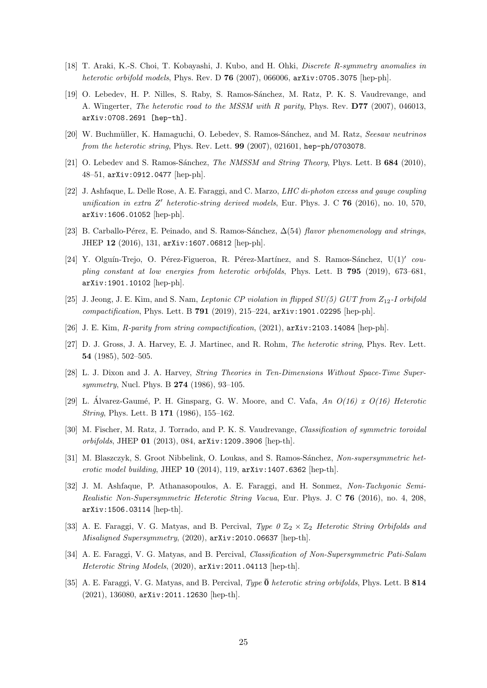- [18] T. Araki, K.-S. Choi, T. Kobayashi, J. Kubo, and H. Ohki, Discrete R-symmetry anomalies in heterotic orbifold models, Phys. Rev. D  $76$  (2007), 066006,  $arXiv:0705.3075$  [hep-ph].
- [19] O. Lebedev, H. P. Nilles, S. Raby, S. Ramos-Sánchez, M. Ratz, P. K. S. Vaudrevange, and A. Wingerter, The heterotic road to the MSSM with R parity, Phys. Rev. D77 (2007), 046013, arXiv:0708.2691 [hep-th].
- <span id="page-25-8"></span>[20] W. Buchmüller, K. Hamaguchi, O. Lebedev, S. Ramos-Sánchez, and M. Ratz, Seesaw neutrinos from the heterotic string, Phys. Rev. Lett. 99 (2007), 021601, hep-ph/0703078.
- [21] O. Lebedev and S. Ramos-Sánchez, The NMSSM and String Theory, Phys. Lett. B 684 (2010), 48–51, arXiv:0912.0477 [hep-ph].
- [22] J. Ashfaque, L. Delle Rose, A. E. Faraggi, and C. Marzo, *LHC di-photon excess and gauge coupling* unification in extra Z' heterotic-string derived models, Eur. Phys. J. C 76 (2016), no. 10, 570, arXiv:1606.01052 [hep-ph].
- [23] B. Carballo-Pérez, E. Peinado, and S. Ramos-Sánchez,  $\Delta(54)$  flavor phenomenology and strings, JHEP 12 (2016), 131, arXiv:1607.06812 [hep-ph].
- [24] Y. Olguín-Trejo, O. Pérez-Figueroa, R. Pérez-Martínez, and S. Ramos-Sánchez,  $U(1)^\prime$  coupling constant at low energies from heterotic orbifolds, Phys. Lett. B 795 (2019), 673–681, arXiv:1901.10102 [hep-ph].
- [25] J. Jeong, J. E. Kim, and S. Nam, Leptonic CP violation in flipped  $SU(5)$  GUT from  $Z_{12}$ -I orbifold  $compactification$ , Phys. Lett. B 791 (2019), 215-224,  $arXiv:1901.02295$  [hep-ph].
- <span id="page-25-0"></span>[26] J. E. Kim, R-parity from string compactification, (2021), arXiv:2103.14084 [hep-ph].
- <span id="page-25-1"></span>[27] D. J. Gross, J. A. Harvey, E. J. Martinec, and R. Rohm, The heterotic string, Phys. Rev. Lett. 54 (1985), 502–505.
- <span id="page-25-7"></span>[28] L. J. Dixon and J. A. Harvey, String Theories in Ten-Dimensions Without Space-Time Supersymmetry, Nucl. Phys. B **274** (1986), 93-105.
- <span id="page-25-2"></span>[29] L. Álvarez-Gaumé, P. H. Ginsparg, G. W. Moore, and C. Vafa,  $An\ O(16)$  x  $O(16)$  Heterotic String, Phys. Lett. B 171 (1986), 155–162.
- <span id="page-25-3"></span>[30] M. Fischer, M. Ratz, J. Torrado, and P. K. S. Vaudrevange, Classification of symmetric toroidal orbifolds, JHEP 01 (2013), 084, arXiv:1209.3906 [hep-th].
- <span id="page-25-4"></span>[31] M. Blaszczyk, S. Groot Nibbelink, O. Loukas, and S. Ramos-Sánchez, Non-supersymmetric heterotic model building, JHEP  $10$  (2014), 119,  $arXiv:1407.6362$  [hep-th].
- <span id="page-25-5"></span>[32] J. M. Ashfaque, P. Athanasopoulos, A. E. Faraggi, and H. Sonmez, Non-Tachyonic Semi-Realistic Non-Supersymmetric Heterotic String Vacua, Eur. Phys. J. C 76 (2016), no. 4, 208, arXiv:1506.03114 [hep-th].
- [33] A. E. Faraggi, V. G. Matyas, and B. Percival, Type  $0 \mathbb{Z}_2 \times \mathbb{Z}_2$  Heterotic String Orbifolds and Misaligned Supersymmetry, (2020), arXiv:2010.06637 [hep-th].
- [34] A. E. Faraggi, V. G. Matyas, and B. Percival, Classification of Non-Supersymmetric Pati-Salam Heterotic String Models, (2020), arXiv:2011.04113 [hep-th].
- <span id="page-25-6"></span>[35] A. E. Faraggi, V. G. Matyas, and B. Percival, Type  $\bar{0}$  heterotic string orbifolds, Phys. Lett. B 814 (2021), 136080, arXiv:2011.12630 [hep-th].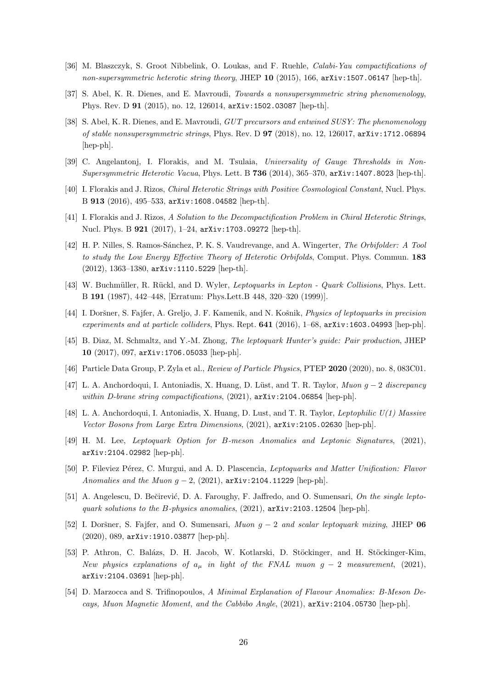- <span id="page-26-0"></span>[36] M. Blaszczyk, S. Groot Nibbelink, O. Loukas, and F. Ruehle, Calabi-Yau compactifications of non-supersymmetric heterotic string theory, JHEP  $10$  (2015), 166, arXiv:1507.06147 [hep-th].
- <span id="page-26-1"></span>[37] S. Abel, K. R. Dienes, and E. Mavroudi, Towards a nonsupersymmetric string phenomenology, Phys. Rev. D 91 (2015), no. 12, 126014, arXiv:1502.03087 [hep-th].
- <span id="page-26-2"></span>[38] S. Abel, K. R. Dienes, and E. Mavroudi, *GUT precursors and entwined SUSY: The phenomenology* of stable nonsupersymmetric strings, Phys. Rev. D  $97$  (2018), no. 12, 126017, arXiv:1712.06894 [hep-ph].
- <span id="page-26-3"></span>[39] C. Angelantonj, I. Florakis, and M. Tsulaia, Universality of Gauge Thresholds in Non-Supersymmetric Heterotic Vacua, Phys. Lett. B 736 (2014), 365–370, arXiv:1407.8023 [hep-th].
- [40] I. Florakis and J. Rizos, Chiral Heterotic Strings with Positive Cosmological Constant, Nucl. Phys. B 913 (2016), 495–533, arXiv:1608.04582 [hep-th].
- <span id="page-26-4"></span>[41] I. Florakis and J. Rizos, A Solution to the Decompactification Problem in Chiral Heterotic Strings, Nucl. Phys. B 921 (2017), 1–24, arXiv:1703.09272 [hep-th].
- <span id="page-26-5"></span>[42] H. P. Nilles, S. Ramos-Sánchez, P. K. S. Vaudrevange, and A. Wingerter, The Orbifolder: A Tool to study the Low Energy Effective Theory of Heterotic Orbifolds, Comput. Phys. Commun. 183 (2012), 1363–1380, arXiv:1110.5229 [hep-th].
- <span id="page-26-6"></span>[43] W. Buchmüller, R. Rückl, and D. Wyler, Leptoquarks in Lepton - Quark Collisions, Phys. Lett. B 191 (1987), 442–448, [Erratum: Phys.Lett.B 448, 320–320 (1999)].
- <span id="page-26-13"></span>[44] I. Doršner, S. Fajfer, A. Greljo, J. F. Kamenik, and N. Košnik, *Physics of leptoquarks in precision* experiments and at particle colliders, Phys. Rept.  $641$  (2016), 1–68,  $arXiv:1603.04993$  [hep-ph].
- <span id="page-26-7"></span>[45] B. Diaz, M. Schmaltz, and Y.-M. Zhong, The leptoquark Hunter's guide: Pair production, JHEP 10 (2017), 097, arXiv:1706.05033 [hep-ph].
- <span id="page-26-8"></span>[46] Particle Data Group, P. Zyla et al., Review of Particle Physics, PTEP 2020 (2020), no. 8, 083C01.
- <span id="page-26-9"></span>[47] L. A. Anchordoqui, I. Antoniadis, X. Huang, D. Lüst, and T. R. Taylor, Muon g – 2 discrepancy within D-brane string compactifications, (2021),  $arXiv:2104.06854$  [hep-ph].
- <span id="page-26-10"></span>[48] L. A. Anchordoqui, I. Antoniadis, X. Huang, D. Lust, and T. R. Taylor, Leptophilic U(1) Massive Vector Bosons from Large Extra Dimensions, (2021), arXiv:2105.02630 [hep-ph].
- <span id="page-26-11"></span>[49] H. M. Lee, Leptoquark Option for B-meson Anomalies and Leptonic Signatures, (2021), arXiv:2104.02982 [hep-ph].
- [50] P. Fileviez Pérez, C. Murgui, and A. D. Plascencia, Leptoquarks and Matter Unification: Flavor Anomalies and the Muon  $g - 2$ , (2021), arXiv:2104.11229 [hep-ph].
- [51] A. Angelescu, D. Bečirević, D. A. Faroughy, F. Jaffredo, and O. Sumensari, On the single leptoquark solutions to the B-physics anomalies,  $(2021)$ ,  $arXiv:2103.12504$  [hep-ph].
- <span id="page-26-12"></span>[52] I. Doršner, S. Fajfer, and O. Sumensari, Muon  $g - 2$  and scalar leptoquark mixing, JHEP 06 (2020), 089, arXiv:1910.03877 [hep-ph].
- [53] P. Athron, C. Balázs, D. H. Jacob, W. Kotlarski, D. Stöckinger, and H. Stöckinger-Kim, New physics explanations of  $a_{\mu}$  in light of the FNAL muon  $g - 2$  measurement, (2021), arXiv:2104.03691 [hep-ph].
- [54] D. Marzocca and S. Trifinopoulos, A Minimal Explanation of Flavour Anomalies: B-Meson Decays, Muon Magnetic Moment, and the Cabbibo Angle, (2021), arXiv:2104.05730 [hep-ph].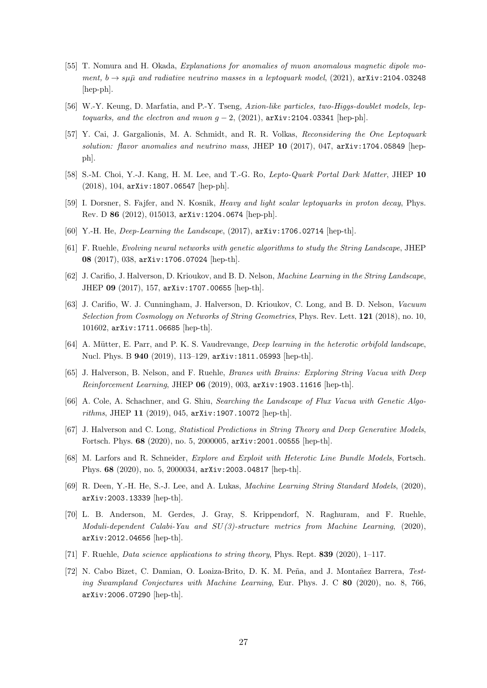- [55] T. Nomura and H. Okada, Explanations for anomalies of muon anomalous magnetic dipole moment,  $b \rightarrow s\mu\bar{\mu}$  and radiative neutrino masses in a leptoquark model, (2021),  $arXiv:2104.03248$ [hep-ph].
- <span id="page-27-0"></span>[56] W.-Y. Keung, D. Marfatia, and P.-Y. Tseng, Axion-like particles, two-Higgs-doublet models, leptoquarks, and the electron and muon  $g - 2$ , (2021), arXiv:2104.03341 [hep-ph].
- <span id="page-27-1"></span>[57] Y. Cai, J. Gargalionis, M. A. Schmidt, and R. R. Volkas, Reconsidering the One Leptoquark solution: flavor anomalies and neutrino mass, JHEP  $10$  (2017), 047,  $arXiv:1704.05849$  [hepph].
- <span id="page-27-2"></span>[58] S.-M. Choi, Y.-J. Kang, H. M. Lee, and T.-G. Ro, Lepto-Quark Portal Dark Matter, JHEP 10 (2018), 104, arXiv:1807.06547 [hep-ph].
- <span id="page-27-3"></span>[59] I. Dorsner, S. Fajfer, and N. Kosnik, Heavy and light scalar leptoquarks in proton decay, Phys. Rev. D 86 (2012), 015013, arXiv:1204.0674 [hep-ph].
- <span id="page-27-4"></span>[60] Y.-H. He, Deep-Learning the Landscape, (2017), arXiv:1706.02714 [hep-th].
- [61] F. Ruehle, Evolving neural networks with genetic algorithms to study the String Landscape, JHEP 08 (2017), 038, arXiv:1706.07024 [hep-th].
- [62] J. Carifio, J. Halverson, D. Krioukov, and B. D. Nelson, Machine Learning in the String Landscape, JHEP 09 (2017), 157, arXiv:1707.00655 [hep-th].
- [63] J. Carifio, W. J. Cunningham, J. Halverson, D. Krioukov, C. Long, and B. D. Nelson, Vacuum Selection from Cosmology on Networks of String Geometries, Phys. Rev. Lett. 121 (2018), no. 10, 101602, arXiv:1711.06685 [hep-th].
- [64] A. Mütter, E. Parr, and P. K. S. Vaudrevange, *Deep learning in the heterotic orbifold landscape*, Nucl. Phys. B 940 (2019), 113–129, arXiv:1811.05993 [hep-th].
- [65] J. Halverson, B. Nelson, and F. Ruehle, Branes with Brains: Exploring String Vacua with Deep Reinforcement Learning, JHEP  $06$  (2019), 003,  $arXiv:1903.11616$  [hep-th].
- [66] A. Cole, A. Schachner, and G. Shiu, Searching the Landscape of Flux Vacua with Genetic Algorithms, JHEP 11 (2019), 045, arXiv:1907.10072 [hep-th].
- [67] J. Halverson and C. Long, Statistical Predictions in String Theory and Deep Generative Models, Fortsch. Phys. 68 (2020), no. 5, 2000005, arXiv:2001.00555 [hep-th].
- [68] M. Larfors and R. Schneider, Explore and Exploit with Heterotic Line Bundle Models, Fortsch. Phys. 68 (2020), no. 5, 2000034, arXiv:2003.04817 [hep-th].
- [69] R. Deen, Y.-H. He, S.-J. Lee, and A. Lukas, Machine Learning String Standard Models, (2020), arXiv:2003.13339 [hep-th].
- [70] L. B. Anderson, M. Gerdes, J. Gray, S. Krippendorf, N. Raghuram, and F. Ruehle, Moduli-dependent Calabi-Yau and SU(3)-structure metrics from Machine Learning, (2020), arXiv:2012.04656 [hep-th].
- [71] F. Ruehle, *Data science applications to string theory*, Phys. Rept. 839 (2020), 1–117.
- [72] N. Cabo Bizet, C. Damian, O. Loaiza-Brito, D. K. M. Peña, and J. Montañez Barrera, Testing Swampland Conjectures with Machine Learning, Eur. Phys. J. C 80 (2020), no. 8, 766, arXiv:2006.07290 [hep-th].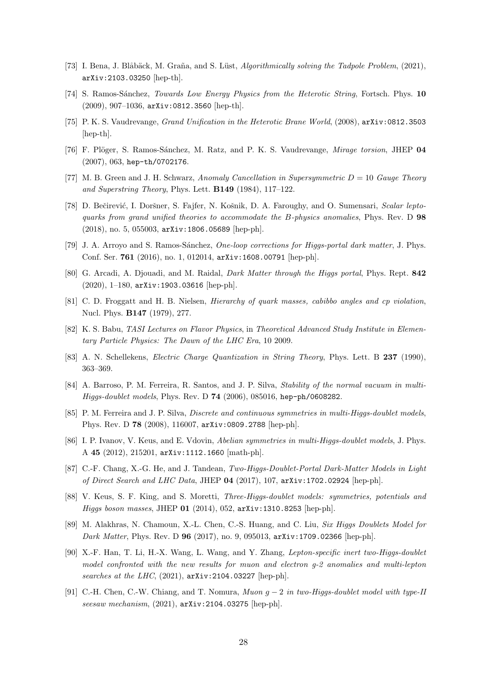- <span id="page-28-0"></span>[73] I. Bena, J. Blåbäck, M. Graña, and S. Lüst, Algorithmically solving the Tadpole Problem, (2021), arXiv:2103.03250 [hep-th].
- <span id="page-28-1"></span>[74] S. Ramos-Sánchez, *Towards Low Energy Physics from the Heterotic String*, Fortsch. Phys. 10 (2009), 907–1036, arXiv:0812.3560 [hep-th].
- <span id="page-28-2"></span>[75] P. K. S. Vaudrevange, Grand Unification in the Heterotic Brane World, (2008), arXiv:0812.3503 [hep-th].
- <span id="page-28-3"></span>[76] F. Plöger, S. Ramos-Sánchez, M. Ratz, and P. K. S. Vaudrevange, Mirage torsion, JHEP 04 (2007), 063, hep-th/0702176.
- <span id="page-28-4"></span>[77] M. B. Green and J. H. Schwarz, Anomaly Cancellation in Supersymmetric  $D = 10$  Gauge Theory and Superstring Theory, Phys. Lett.  $\mathbf{B149}$  (1984), 117–122.
- <span id="page-28-5"></span>[78] D. Bečirević, I. Doršner, S. Fajfer, N. Košnik, D. A. Faroughy, and O. Sumensari, *Scalar lepto*quarks from grand unified theories to accommodate the B-physics anomalies, Phys. Rev. D 98 (2018), no. 5, 055003, arXiv:1806.05689 [hep-ph].
- <span id="page-28-6"></span>[79] J. A. Arroyo and S. Ramos-Sánchez, One-loop corrections for Higgs-portal dark matter, J. Phys. Conf. Ser. 761 (2016), no. 1, 012014, arXiv:1608.00791 [hep-ph].
- <span id="page-28-7"></span>[80] G. Arcadi, A. Djouadi, and M. Raidal, Dark Matter through the Higgs portal, Phys. Rept. 842 (2020), 1–180, arXiv:1903.03616 [hep-ph].
- <span id="page-28-8"></span>[81] C. D. Froggatt and H. B. Nielsen, Hierarchy of quark masses, cabibbo angles and cp violation, Nucl. Phys. B147 (1979), 277.
- <span id="page-28-9"></span>[82] K. S. Babu, TASI Lectures on Flavor Physics, in Theoretical Advanced Study Institute in Elementary Particle Physics: The Dawn of the LHC Era, 10 2009.
- <span id="page-28-10"></span>[83] A. N. Schellekens, Electric Charge Quantization in String Theory, Phys. Lett. B 237 (1990), 363–369.
- <span id="page-28-11"></span>[84] A. Barroso, P. M. Ferreira, R. Santos, and J. P. Silva, Stability of the normal vacuum in multi-Higgs-doublet models, Phys. Rev. D 74 (2006), 085016, hep-ph/0608282.
- [85] P. M. Ferreira and J. P. Silva, *Discrete and continuous symmetries in multi-Higgs-doublet models*, Phys. Rev. D 78 (2008), 116007, arXiv:0809.2788 [hep-ph].
- <span id="page-28-12"></span>[86] I. P. Ivanov, V. Keus, and E. Vdovin, Abelian symmetries in multi-Higgs-doublet models, J. Phys. A 45 (2012), 215201, arXiv:1112.1660 [math-ph].
- <span id="page-28-13"></span>[87] C.-F. Chang, X.-G. He, and J. Tandean, Two-Higgs-Doublet-Portal Dark-Matter Models in Light of Direct Search and LHC Data, JHEP 04 (2017), 107, arXiv:1702.02924 [hep-ph].
- [88] V. Keus, S. F. King, and S. Moretti, Three-Higgs-doublet models: symmetries, potentials and Higgs boson masses, JHEP 01 (2014), 052, arXiv:1310.8253 [hep-ph].
- <span id="page-28-14"></span>[89] M. Alakhras, N. Chamoun, X.-L. Chen, C.-S. Huang, and C. Liu, Six Higgs Doublets Model for Dark Matter, Phys. Rev. D 96 (2017), no. 9, 095013, arXiv:1709.02366 [hep-ph].
- <span id="page-28-15"></span>[90] X.-F. Han, T. Li, H.-X. Wang, L. Wang, and Y. Zhang, Lepton-specific inert two-Higgs-doublet model confronted with the new results for muon and electron g-2 anomalies and multi-lepton searches at the LHC, (2021), arXiv:2104.03227 [hep-ph].
- [91] C.-H. Chen, C.-W. Chiang, and T. Nomura, Muon g − 2 in two-Higgs-doublet model with type-II seesaw mechanism, (2021), arXiv:2104.03275 [hep-ph].